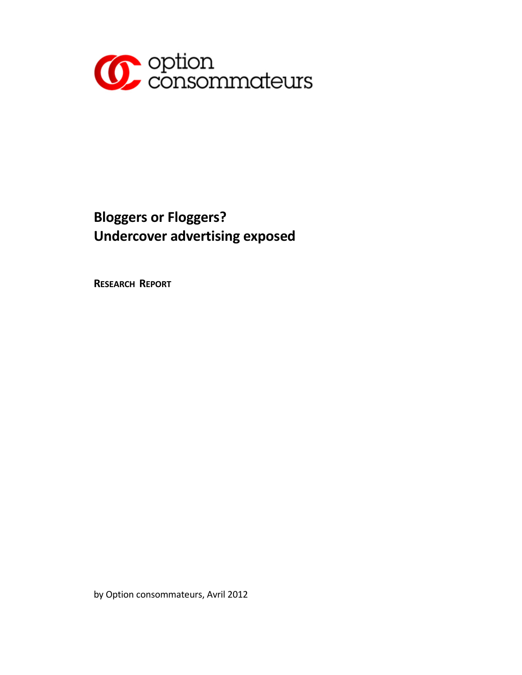

# **Bloggers or Floggers? Undercover advertising exposed**

**RESEARCH REPORT**

by Option consommateurs, Avril 2012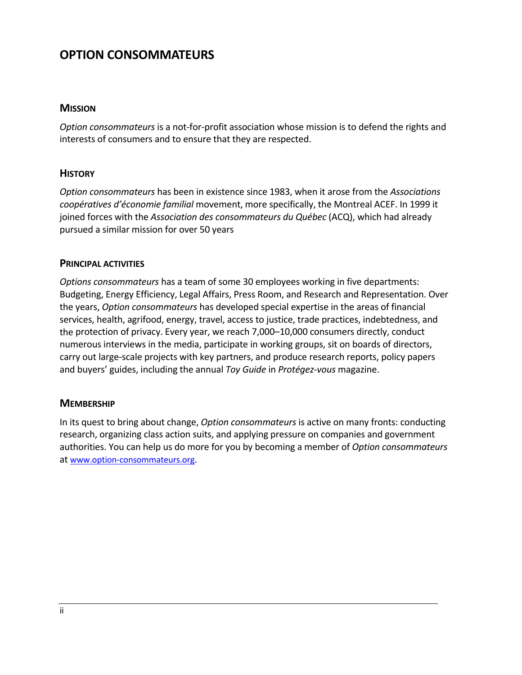## **OPTION CONSOMMATEURS**

#### **MISSION**

*Option consommateurs* is a not‐for‐profit association whose mission is to defend the rights and interests of consumers and to ensure that they are respected.

#### **HISTORY**

*Option consommateurs* has been in existence since 1983, when it arose from the *Associations coopératives d'économie familial* movement, more specifically, the Montreal ACEF. In 1999 it joined forces with the *Association des consommateurs du Québec* (ACQ), which had already pursued a similar mission for over 50 years

#### **PRINCIPAL ACTIVITIES**

*Options consommateurs* has a team of some 30 employees working in five departments: Budgeting, Energy Efficiency, Legal Affairs, Press Room, and Research and Representation. Over the years, *Option consommateurs* has developed special expertise in the areas of financial services, health, agrifood, energy, travel, access to justice, trade practices, indebtedness, and the protection of privacy. Every year, we reach 7,000–10,000 consumers directly, conduct numerous interviews in the media, participate in working groups, sit on boards of directors, carry out large‐scale projects with key partners, and produce research reports, policy papers and buyers' guides, including the annual *Toy Guide* in *Protégez‐vous* magazine.

#### **MEMBERSHIP**

In its quest to bring about change, *Option consommateurs* is active on many fronts: conducting research, organizing class action suits, and applying pressure on companies and government authorities. You can help us do more for you by becoming a member of *Option consommateurs* at www.option‐consommateurs.org.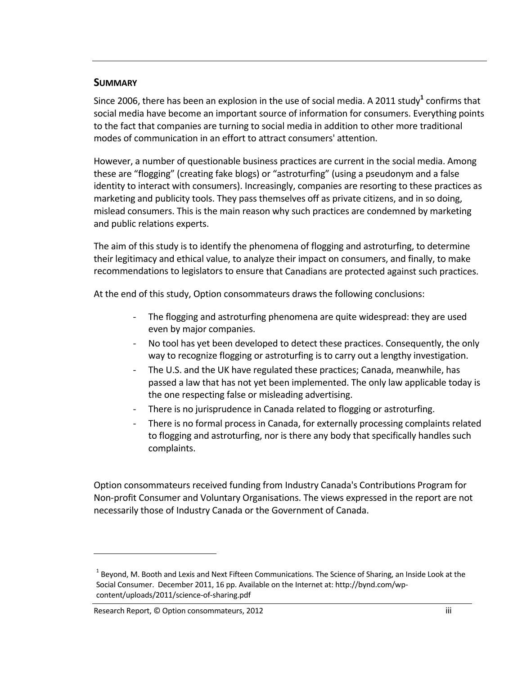#### **SUMMARY**

Since 2006, there has been an explosion in the use of social media. A 2011 study<sup>1</sup> confirms that social media have become an important source of information for consumers. Everything points to the fact that companies are turning to social media in addition to other more traditional modes of communication in an effort to attract consumers' attention.

However, a number of questionable business practices are current in the social media. Among these are "flogging" (creating fake blogs) or "astroturfing" (using a pseudonym and a false identity to interact with consumers). Increasingly, companies are resorting to these practices as marketing and publicity tools. They pass themselves off as private citizens, and in so doing, mislead consumers. This is the main reason why such practices are condemned by marketing and public relations experts.

The aim of this study is to identify the phenomena of flogging and astroturfing, to determine their legitimacy and ethical value, to analyze their impact on consumers, and finally, to make recommendations to legislators to ensure that Canadians are protected against such practices.

At the end of this study, Option consommateurs draws the following conclusions:

- ‐ The flogging and astroturfing phenomena are quite widespread: they are used even by major companies.
- No tool has yet been developed to detect these practices. Consequently, the only way to recognize flogging or astroturfing is to carry out a lengthy investigation.
- ‐ The U.S. and the UK have regulated these practices; Canada, meanwhile, has passed a law that has not yet been implemented. The only law applicable today is the one respecting false or misleading advertising.
- ‐ There is no jurisprudence in Canada related to flogging or astroturfing.
- ‐ There is no formal process in Canada, for externally processing complaints related to flogging and astroturfing, nor is there any body that specifically handles such complaints.

Option consommateurs received funding from Industry Canada's Contributions Program for Non‐profit Consumer and Voluntary Organisations. The views expressed in the report are not necessarily those of Industry Canada or the Government of Canada.

 $1$  Beyond, M. Booth and Lexis and Next Fifteen Communications. The Science of Sharing, an Inside Look at the Social Consumer. December 2011, 16 pp. Available on the Internet at: http://bynd.com/wp‐ content/uploads/2011/science‐of‐sharing.pdf

Research Report, © Option consommateurs, 2012 iii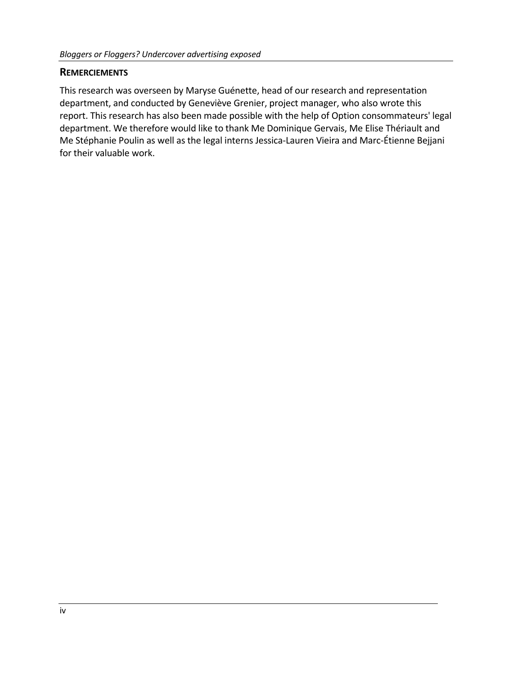#### **REMERCIEMENTS**

This research was overseen by Maryse Guénette, head of our research and representation department, and conducted by Geneviève Grenier, project manager, who also wrote this report. This research has also been made possible with the help of Option consommateurs' legal department. We therefore would like to thank Me Dominique Gervais, Me Elise Thériault and Me Stéphanie Poulin as well as the legal interns Jessica‐Lauren Vieira and Marc‐Étienne Bejjani for their valuable work.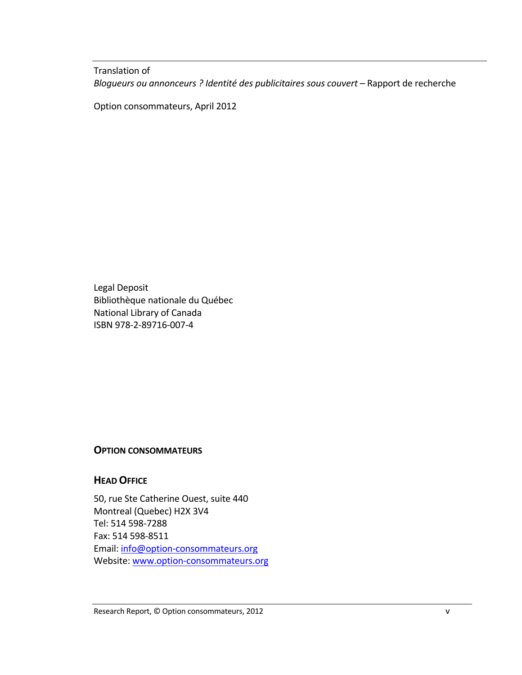Translation of *Blogueurs ou annonceurs ? Identité des publicitaires sous couvert* – Rapport de recherche

Option consommateurs, April 2012

Legal Deposit Bibliothèque nationale du Québec National Library of Canada ISBN 978‐2‐89716‐007‐4

#### **OPTION CONSOMMATEURS**

#### **HEAD OFFICE**

50, rue Ste Catherine Ouest, suite 440 Montreal (Quebec) H2X 3V4 Tel: 514 598‐7288 Fax: 514 598‐8511 Email: info@option‐consommateurs.org Website: www.option-consommateurs.org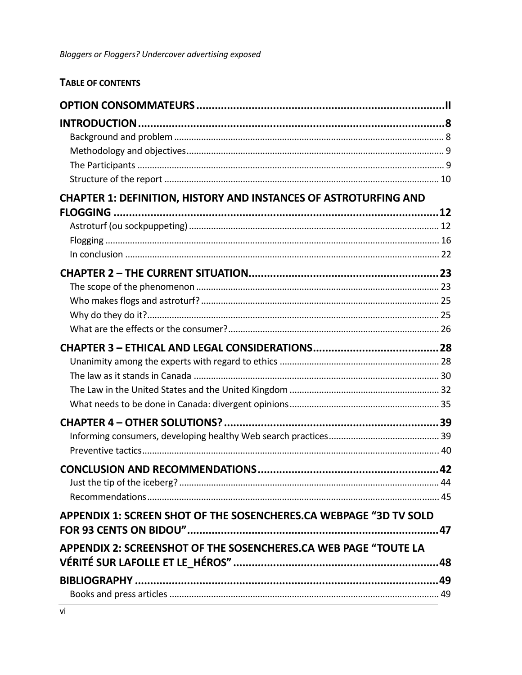## TABLE OF CONTENTS

| <b>CHAPTER 1: DEFINITION, HISTORY AND INSTANCES OF ASTROTURFING AND</b> |     |
|-------------------------------------------------------------------------|-----|
|                                                                         |     |
|                                                                         |     |
|                                                                         |     |
|                                                                         |     |
|                                                                         |     |
|                                                                         |     |
|                                                                         |     |
|                                                                         |     |
|                                                                         |     |
|                                                                         |     |
|                                                                         |     |
|                                                                         |     |
|                                                                         |     |
|                                                                         |     |
|                                                                         |     |
|                                                                         |     |
|                                                                         |     |
|                                                                         |     |
|                                                                         |     |
|                                                                         |     |
| APPENDIX 1: SCREEN SHOT OF THE SOSENCHERES.CA WEBPAGE "3D TV SOLD       |     |
|                                                                         | .47 |
| APPENDIX 2: SCREENSHOT OF THE SOSENCHERES.CA WEB PAGE "TOUTE LA         |     |
|                                                                         |     |
|                                                                         |     |
|                                                                         |     |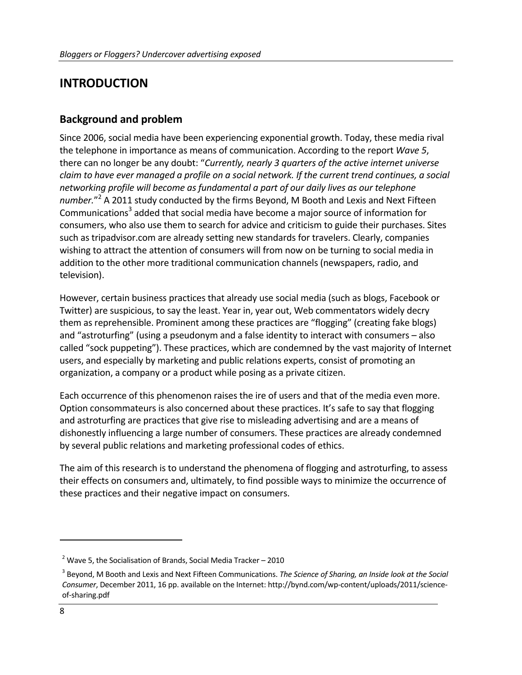# **INTRODUCTION**

### **Background and problem**

Since 2006, social media have been experiencing exponential growth. Today, these media rival the telephone in importance as means of communication. According to the report *Wave 5*, there can no longer be any doubt: "*Currently, nearly 3 quarters of the active internet universe claim to have ever managed a profile on a social network. If the current trend continues, a social networking profile will become as fundamental a part of our daily lives as our telephone number.*" <sup>2</sup> A 2011 study conducted by the firms Beyond, M Booth and Lexis and Next Fifteen Communications<sup>3</sup> added that social media have become a major source of information for consumers, who also use them to search for advice and criticism to guide their purchases. Sites such as tripadvisor.com are already setting new standards for travelers. Clearly, companies wishing to attract the attention of consumers will from now on be turning to social media in addition to the other more traditional communication channels (newspapers, radio, and television).

However, certain business practices that already use social media (such as blogs, Facebook or Twitter) are suspicious, to say the least. Year in, year out, Web commentators widely decry them as reprehensible. Prominent among these practices are "flogging" (creating fake blogs) and "astroturfing" (using a pseudonym and a false identity to interact with consumers – also called "sock puppeting"). These practices, which are condemned by the vast majority of Internet users, and especially by marketing and public relations experts, consist of promoting an organization, a company or a product while posing as a private citizen.

Each occurrence of this phenomenon raises the ire of users and that of the media even more. Option consommateurs is also concerned about these practices. It's safe to say that flogging and astroturfing are practices that give rise to misleading advertising and are a means of dishonestly influencing a large number of consumers. These practices are already condemned by several public relations and marketing professional codes of ethics.

The aim of this research is to understand the phenomena of flogging and astroturfing, to assess their effects on consumers and, ultimately, to find possible ways to minimize the occurrence of these practices and their negative impact on consumers.

 $2$  Wave 5, the Socialisation of Brands, Social Media Tracker – 2010

<sup>3</sup> Beyond, M Booth and Lexis and Next Fifteen Communications. *The Science of Sharing, an Inside look at the Social Consumer*, December 2011, 16 pp. available on the Internet: http://bynd.com/wp‐content/uploads/2011/science‐ of‐sharing.pdf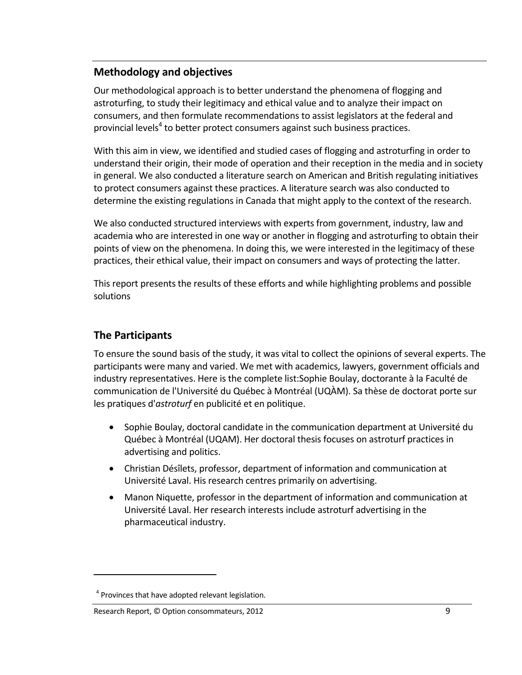### **Methodology and objectives**

Our methodological approach is to better understand the phenomena of flogging and astroturfing, to study their legitimacy and ethical value and to analyze their impact on consumers, and then formulate recommendations to assist legislators at the federal and provincial levels<sup>4</sup> to better protect consumers against such business practices.

With this aim in view, we identified and studied cases of flogging and astroturfing in order to understand their origin, their mode of operation and their reception in the media and in society in general. We also conducted a literature search on American and British regulating initiatives to protect consumers against these practices. A literature search was also conducted to determine the existing regulations in Canada that might apply to the context of the research.

We also conducted structured interviews with experts from government, industry, law and academia who are interested in one way or another in flogging and astroturfing to obtain their points of view on the phenomena. In doing this, we were interested in the legitimacy of these practices, their ethical value, their impact on consumers and ways of protecting the latter.

This report presents the results of these efforts and while highlighting problems and possible solutions

### **The Participants**

To ensure the sound basis of the study, it was vital to collect the opinions of several experts. The participants were many and varied. We met with academics, lawyers, government officials and industry representatives. Here is the complete list:Sophie Boulay, doctorante à la Faculté de communication de l'Université du Québec à Montréal (UQÀM). Sa thèse de doctorat porte sur les pratiques d'*astroturf* en publicité et en politique.

- Sophie Boulay, doctoral candidate in the communication department at Université du Québec à Montréal (UQAM). Her doctoral thesis focuses on astroturf practices in advertising and politics.
- Christian Désîlets, professor, department of information and communication at Université Laval. His research centres primarily on advertising.
- Manon Niquette, professor in the department of information and communication at Université Laval. Her research interests include astroturf advertising in the pharmaceutical industry.

<sup>&</sup>lt;sup>4</sup> Provinces that have adopted relevant legislation.

Research Report, © Option consommateurs, 2012 9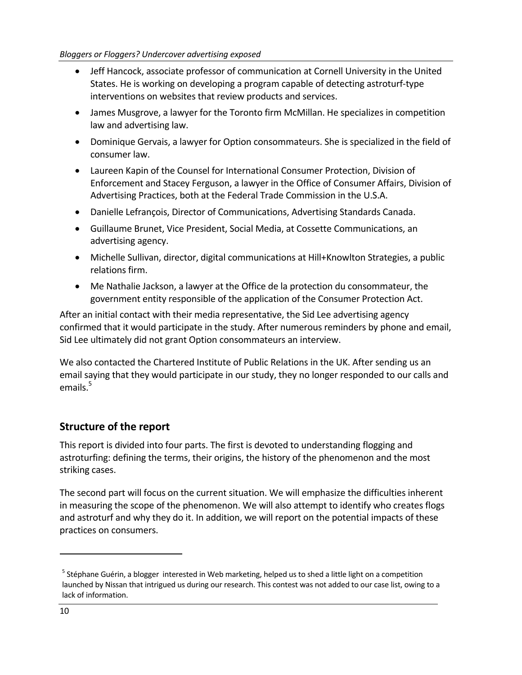#### *Bloggers or Floggers? Undercover advertising exposed*

- Jeff Hancock, associate professor of communication at Cornell University in the United States. He is working on developing a program capable of detecting astroturf‐type interventions on websites that review products and services.
- James Musgrove, a lawyer for the Toronto firm McMillan. He specializes in competition law and advertising law.
- Dominique Gervais, a lawyer for Option consommateurs. She is specialized in the field of consumer law.
- Laureen Kapin of the Counsel for International Consumer Protection, Division of Enforcement and Stacey Ferguson, a lawyer in the Office of Consumer Affairs, Division of Advertising Practices, both at the Federal Trade Commission in the U.S.A.
- Danielle Lefrançois, Director of Communications, Advertising Standards Canada.
- Guillaume Brunet, Vice President, Social Media, at Cossette Communications, an advertising agency.
- Michelle Sullivan, director, digital communications at Hill+Knowlton Strategies, a public relations firm.
- Me Nathalie Jackson, a lawyer at the Office de la protection du consommateur, the government entity responsible of the application of the Consumer Protection Act.

After an initial contact with their media representative, the Sid Lee advertising agency confirmed that it would participate in the study. After numerous reminders by phone and email, Sid Lee ultimately did not grant Option consommateurs an interview.

We also contacted the Chartered Institute of Public Relations in the UK. After sending us an email saying that they would participate in our study, they no longer responded to our calls and emails. $5$ 

### **Structure of the report**

This report is divided into four parts. The first is devoted to understanding flogging and astroturfing: defining the terms, their origins, the history of the phenomenon and the most striking cases.

The second part will focus on the current situation. We will emphasize the difficulties inherent in measuring the scope of the phenomenon. We will also attempt to identify who creates flogs and astroturf and why they do it. In addition, we will report on the potential impacts of these practices on consumers.

 $<sup>5</sup>$  Stéphane Guérin, a blogger interested in Web marketing, helped us to shed a little light on a competition</sup> launched by Nissan that intrigued us during our research. This contest was not added to our case list, owing to a lack of information.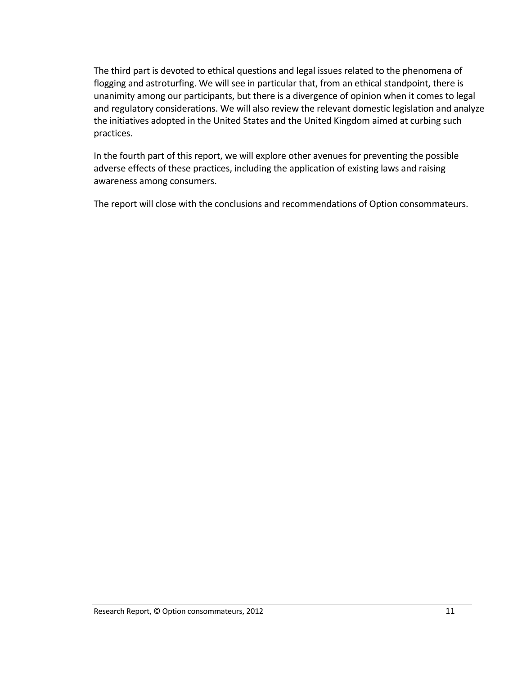The third part is devoted to ethical questions and legal issues related to the phenomena of flogging and astroturfing. We will see in particular that, from an ethical standpoint, there is unanimity among our participants, but there is a divergence of opinion when it comes to legal and regulatory considerations. We will also review the relevant domestic legislation and analyze the initiatives adopted in the United States and the United Kingdom aimed at curbing such practices.

In the fourth part of this report, we will explore other avenues for preventing the possible adverse effects of these practices, including the application of existing laws and raising awareness among consumers.

The report will close with the conclusions and recommendations of Option consommateurs.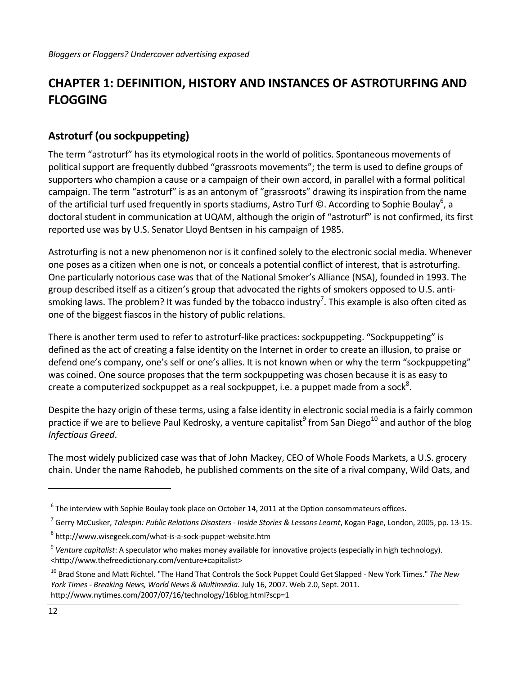# **CHAPTER 1: DEFINITION, HISTORY AND INSTANCES OF ASTROTURFING AND FLOGGING**

### **Astroturf (ou sockpuppeting)**

The term "astroturf" has its etymological roots in the world of politics. Spontaneous movements of political support are frequently dubbed "grassroots movements"; the term is used to define groups of supporters who champion a cause or a campaign of their own accord, in parallel with a formal political campaign. The term "astroturf" is as an antonym of "grassroots" drawing its inspiration from the name of the artificial turf used frequently in sports stadiums, Astro Turf ©. According to Sophie Boulay $^6$ , a doctoral student in communication at UQAM, although the origin of "astroturf" is not confirmed, its first reported use was by U.S. Senator Lloyd Bentsen in his campaign of 1985.

Astroturfing is not a new phenomenon nor is it confined solely to the electronic social media. Whenever one poses as a citizen when one is not, or conceals a potential conflict of interest, that is astroturfing. One particularly notorious case was that of the National Smoker's Alliance (NSA), founded in 1993. The group described itself as a citizen's group that advocated the rights of smokers opposed to U.S. anti‐ smoking laws. The problem? It was funded by the tobacco industry<sup>7</sup>. This example is also often cited as one of the biggest fiascos in the history of public relations.

There is another term used to refer to astroturf‐like practices: sockpuppeting. "Sockpuppeting" is defined as the act of creating a false identity on the Internet in order to create an illusion, to praise or defend one's company, one's self or one's allies. It is not known when or why the term "sockpuppeting" was coined. One source proposes that the term sockpuppeting was chosen because it is as easy to create a computerized sockpuppet as a real sockpuppet, i.e. a puppet made from a sock<sup>8</sup>.

Despite the hazy origin of these terms, using a false identity in electronic social media is a fairly common practice if we are to believe Paul Kedrosky, a venture capitalist<sup>9</sup> from San Diego<sup>10</sup> and author of the blog *Infectious Greed*.

The most widely publicized case was that of John Mackey, CEO of Whole Foods Markets, a U.S. grocery chain. Under the name Rahodeb, he published comments on the site of a rival company, Wild Oats, and

 $^6$  The interview with Sophie Boulay took place on October 14, 2011 at the Option consommateurs offices.

<sup>7</sup> Gerry McCusker, *Talespin: Public Relations Disasters ‐ Inside Stories & Lessons Learnt*, Kogan Page, London, 2005, pp. 13‐15.

<sup>8</sup> http://www.wisegeek.com/what‐is‐a‐sock‐puppet‐website.htm

<sup>9</sup> *Venture capitalist*: A speculator who makes money available for innovative projects (especially in high technology). <http://www.thefreedictionary.com/venture+capitalist>

<sup>10</sup> Brad Stone and Matt Richtel. "The Hand That Controls the Sock Puppet Could Get Slapped ‐ New York Times." *The New York Times ‐ Breaking News, World News & Multimedia*. July 16, 2007. Web 2.0, Sept. 2011. http://www.nytimes.com/2007/07/16/technology/16blog.html?scp=1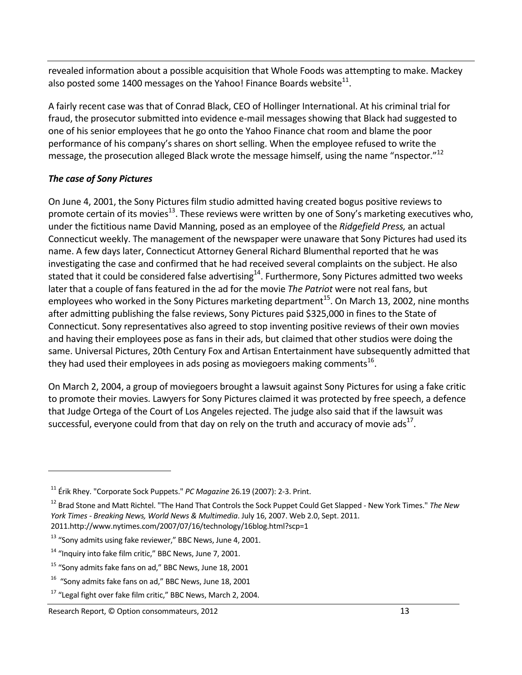revealed information about a possible acquisition that Whole Foods was attempting to make. Mackey also posted some 1400 messages on the Yahoo! Finance Boards website $^{11}$ .

A fairly recent case was that of Conrad Black, CEO of Hollinger International. At his criminal trial for fraud, the prosecutor submitted into evidence e-mail messages showing that Black had suggested to one of his senior employees that he go onto the Yahoo Finance chat room and blame the poor performance of his company's shares on short selling. When the employee refused to write the message, the prosecution alleged Black wrote the message himself, using the name "nspector."<sup>12</sup>

### *The case of Sony Pictures*

On June 4, 2001, the Sony Pictures film studio admitted having created bogus positive reviews to promote certain of its movies<sup>13</sup>. These reviews were written by one of Sony's marketing executives who, under the fictitious name David Manning, posed as an employee of the *Ridgefield Press,* an actual Connecticut weekly. The management of the newspaper were unaware that Sony Pictures had used its name. A few days later, Connecticut Attorney General Richard Blumenthal reported that he was investigating the case and confirmed that he had received several complaints on the subject. He also stated that it could be considered false advertising<sup>14</sup>. Furthermore, Sony Pictures admitted two weeks later that a couple of fans featured in the ad for the movie *The Patriot* were not real fans, but employees who worked in the Sony Pictures marketing department<sup>15</sup>. On March 13, 2002, nine months after admitting publishing the false reviews, Sony Pictures paid \$325,000 in fines to the State of Connecticut. Sony representatives also agreed to stop inventing positive reviews of their own movies and having their employees pose as fans in their ads, but claimed that other studios were doing the same. Universal Pictures, 20th Century Fox and Artisan Entertainment have subsequently admitted that they had used their employees in ads posing as moviegoers making comments<sup>16</sup>.

On March 2, 2004, a group of moviegoers brought a lawsuit against Sony Pictures for using a fake critic to promote their movies. Lawyers for Sony Pictures claimed it was protected by free speech, a defence that Judge Ortega of the Court of Los Angeles rejected. The judge also said that if the lawsuit was successful, everyone could from that day on rely on the truth and accuracy of movie ads<sup>17</sup>.

<sup>11</sup> Érik Rhey. "Corporate Sock Puppets." *PC Magazine* 26.19 (2007): 2‐3. Print.

<sup>12</sup> Brad Stone and Matt Richtel. "The Hand That Controls the Sock Puppet Could Get Slapped ‐ New York Times." *The New York Times ‐ Breaking News, World News & Multimedia*. July 16, 2007. Web 2.0, Sept. 2011. 2011.http://www.nytimes.com/2007/07/16/technology/16blog.html?scp=1

<sup>&</sup>lt;sup>13</sup> "Sony admits using fake reviewer," BBC News, June 4, 2001.

<sup>&</sup>lt;sup>14</sup> "Inquiry into fake film critic," BBC News, June 7, 2001.

 $15$  "Sony admits fake fans on ad," BBC News, June 18, 2001

 $16$  "Sony admits fake fans on ad," BBC News, June 18, 2001

<sup>&</sup>lt;sup>17</sup> "Legal fight over fake film critic," BBC News, March 2, 2004.

Research Report, © Option consommateurs, 2012 13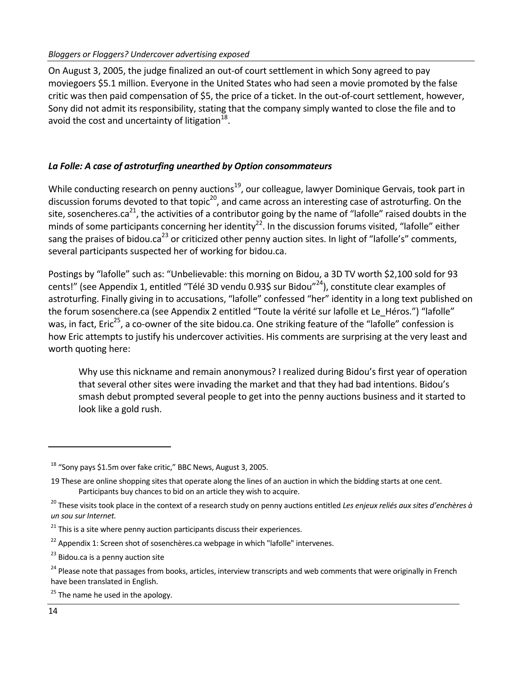On August 3, 2005, the judge finalized an out‐of court settlement in which Sony agreed to pay moviegoers \$5.1 million. Everyone in the United States who had seen a movie promoted by the false critic was then paid compensation of \$5, the price of a ticket. In the out‐of‐court settlement, however, Sony did not admit its responsibility, stating that the company simply wanted to close the file and to avoid the cost and uncertainty of litigation $^{18}$ .

#### *La Folle: A case of astroturfing unearthed by Option consommateurs*

While conducting research on penny auctions<sup>19</sup>, our colleague, lawyer Dominique Gervais, took part in discussion forums devoted to that topic<sup>20</sup>, and came across an interesting case of astroturfing. On the site, sosencheres.ca<sup>21</sup>, the activities of a contributor going by the name of "lafolle" raised doubts in the minds of some participants concerning her identity<sup>22</sup>. In the discussion forums visited, "lafolle" either sang the praises of bidou.ca<sup>23</sup> or criticized other penny auction sites. In light of "lafolle's" comments, several participants suspected her of working for bidou.ca.

Postings by "lafolle" such as: "Unbelievable: this morning on Bidou, a 3D TV worth \$2,100 sold for 93 cents!" (see Appendix 1, entitled "Télé 3D vendu 0.93\$ sur Bidou"<sup>24</sup>), constitute clear examples of astroturfing. Finally giving in to accusations, "lafolle" confessed "her" identity in a long text published on the forum sosenchere.ca (see Appendix 2 entitled "Toute la vérité sur lafolle et Le Héros.") "lafolle" was, in fact, Eric<sup>25</sup>, a co-owner of the site bidou.ca. One striking feature of the "lafolle" confession is how Eric attempts to justify his undercover activities. His comments are surprising at the very least and worth quoting here:

Why use this nickname and remain anonymous? I realized during Bidou's first year of operation that several other sites were invading the market and that they had bad intentions. Bidou's smash debut prompted several people to get into the penny auctions business and it started to look like a gold rush.

 $18$  "Sony pays \$1.5m over fake critic," BBC News, August 3, 2005.

<sup>19</sup> These are online shopping sites that operate along the lines of an auction in which the bidding starts at one cent. Participants buy chances to bid on an article they wish to acquire.

<sup>20</sup> These visits took place in the context of a research study on penny auctions entitled *Les enjeux reliés aux sites d'enchères à un sou sur Internet.*

 $21$  This is a site where penny auction participants discuss their experiences.

 $22$  Appendix 1: Screen shot of sosenchères.ca webpage in which "lafolle" intervenes.

<sup>&</sup>lt;sup>23</sup> Bidou.ca is a penny auction site

<sup>&</sup>lt;sup>24</sup> Please note that passages from books, articles, interview transcripts and web comments that were originally in French have been translated in English.

<sup>&</sup>lt;sup>25</sup> The name he used in the apology.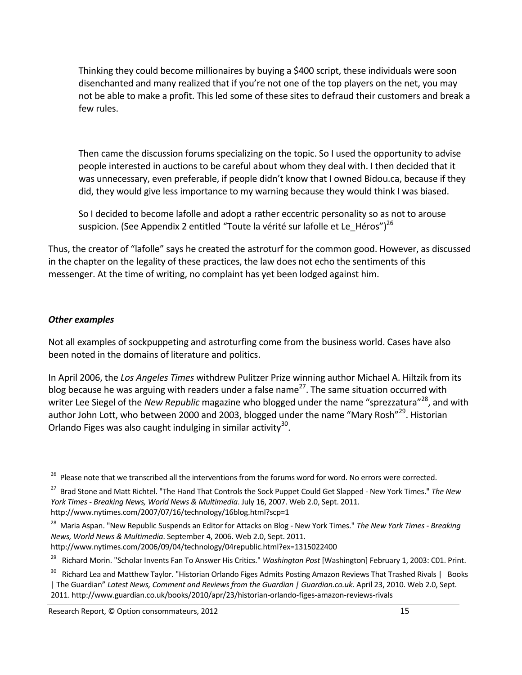Thinking they could become millionaires by buying a \$400 script, these individuals were soon disenchanted and many realized that if you're not one of the top players on the net, you may not be able to make a profit. This led some of these sites to defraud their customers and break a few rules.

Then came the discussion forums specializing on the topic. So I used the opportunity to advise people interested in auctions to be careful about whom they deal with. I then decided that it was unnecessary, even preferable, if people didn't know that I owned Bidou.ca, because if they did, they would give less importance to my warning because they would think I was biased.

So I decided to become lafolle and adopt a rather eccentric personality so as not to arouse suspicion. (See Appendix 2 entitled "Toute la vérité sur lafolle et Le Héros")<sup>26</sup>

Thus, the creator of "lafolle" says he created the astroturf for the common good. However, as discussed in the chapter on the legality of these practices, the law does not echo the sentiments of this messenger. At the time of writing, no complaint has yet been lodged against him.

#### *Other examples*

Not all examples of sockpuppeting and astroturfing come from the business world. Cases have also been noted in the domains of literature and politics.

In April 2006, the *Los Angeles Times* withdrew Pulitzer Prize winning author Michael A. Hiltzik from its blog because he was arguing with readers under a false name<sup>27</sup>. The same situation occurred with writer Lee Siegel of the *New Republic* magazine who blogged under the name "sprezzatura"28, and with author John Lott, who between 2000 and 2003, blogged under the name "Mary Rosh"<sup>29</sup>. Historian Orlando Figes was also caught indulging in similar activity<sup>30</sup>.

<sup>29</sup> Richard Morin. "Scholar Invents Fan To Answer His Critics." *Washington Post* [Washington] February 1, 2003: C01. Print.

<sup>&</sup>lt;sup>26</sup> Please note that we transcribed all the interventions from the forums word for word. No errors were corrected.

<sup>27</sup> Brad Stone and Matt Richtel. "The Hand That Controls the Sock Puppet Could Get Slapped ‐ New York Times." *The New York Times ‐ Breaking News, World News & Multimedia*. July 16, 2007. Web 2.0, Sept. 2011. http://www.nytimes.com/2007/07/16/technology/16blog.html?scp=1

<sup>28</sup> Maria Aspan. "New Republic Suspends an Editor for Attacks on Blog ‐ New York Times." *The New York Times ‐ Breaking News, World News & Multimedia*. September 4, 2006. Web 2.0, Sept. 2011. http://www.nytimes.com/2006/09/04/technology/04republic.html?ex=1315022400

<sup>&</sup>lt;sup>30</sup> Richard Lea and Matthew Taylor. "Historian Orlando Figes Admits Posting Amazon Reviews That Trashed Rivals | Books | The Guardian" *Latest News, Comment and Reviews from the Guardian | Guardian.co.uk*. April 23, 2010. Web 2.0, Sept. 2011. http://www.guardian.co.uk/books/2010/apr/23/historian‐orlando‐figes‐amazon‐reviews‐rivals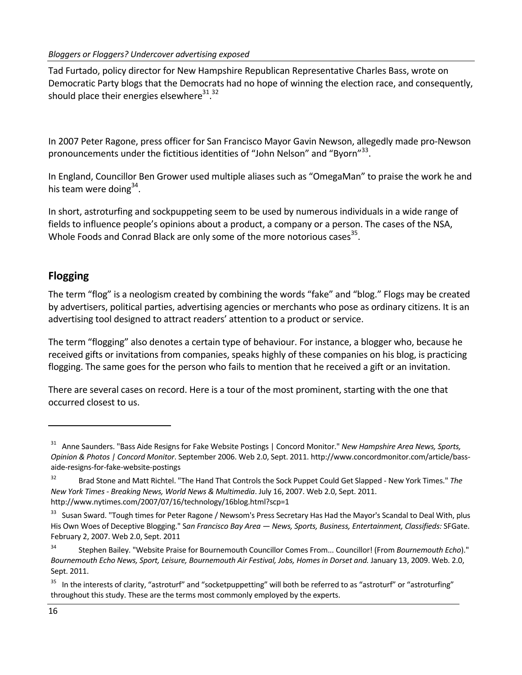Tad Furtado, policy director for New Hampshire Republican Representative Charles Bass, wrote on Democratic Party blogs that the Democrats had no hope of winning the election race, and consequently, should place their energies elsewhere $^{31,32}$ 

In 2007 Peter Ragone, press officer for San Francisco Mayor Gavin Newson, allegedly made pro‐Newson pronouncements under the fictitious identities of "John Nelson" and "Byorn"<sup>33</sup>.

In England, Councillor Ben Grower used multiple aliases such as "OmegaMan" to praise the work he and his team were doing $34$ .

In short, astroturfing and sockpuppeting seem to be used by numerous individuals in a wide range of fields to influence people's opinions about a product, a company or a person. The cases of the NSA, Whole Foods and Conrad Black are only some of the more notorious cases<sup>35</sup>.

## **Flogging**

The term "flog" is a neologism created by combining the words "fake" and "blog." Flogs may be created by advertisers, political parties, advertising agencies or merchants who pose as ordinary citizens. It is an advertising tool designed to attract readers' attention to a product or service.

The term "flogging" also denotes a certain type of behaviour. For instance, a blogger who, because he received gifts or invitations from companies, speaks highly of these companies on his blog, is practicing flogging. The same goes for the person who fails to mention that he received a gift or an invitation.

There are several cases on record. Here is a tour of the most prominent, starting with the one that occurred closest to us.

<sup>31</sup> Anne Saunders. "Bass Aide Resigns for Fake Website Postings | Concord Monitor." *New Hampshire Area News, Sports, Opinion & Photos | Concord Monitor*. September 2006. Web 2.0, Sept. 2011. http://www.concordmonitor.com/article/bass‐ aide‐resigns‐for‐fake‐website‐postings

<sup>32</sup> Brad Stone and Matt Richtel. "The Hand That Controls the Sock Puppet Could Get Slapped ‐ New York Times." *The New York Times ‐ Breaking News, World News & Multimedia*. July 16, 2007. Web 2.0, Sept. 2011. http://www.nytimes.com/2007/07/16/technology/16blog.html?scp=1

<sup>&</sup>lt;sup>33</sup> Susan Sward. "Tough times for Peter Ragone / Newsom's Press Secretary Has Had the Mayor's Scandal to Deal With, plus His Own Woes of Deceptive Blogging." S*an Francisco Bay Area — News, Sports, Business, Entertainment, Classifieds:* SFGate. February 2, 2007. Web 2.0, Sept. 2011

<sup>34</sup> Stephen Bailey. "Website Praise for Bournemouth Councillor Comes From... Councillor! (From *Bournemouth Echo*)." *Bournemouth Echo News, Sport, Leisure, Bournemouth Air Festival, Jobs, Homes in Dorset and.* January 13, 2009. Web. 2.0, Sept. 2011.

<sup>&</sup>lt;sup>35</sup> In the interests of clarity, "astroturf" and "socketpuppetting" will both be referred to as "astroturf" or "astroturfing" throughout this study. These are the terms most commonly employed by the experts.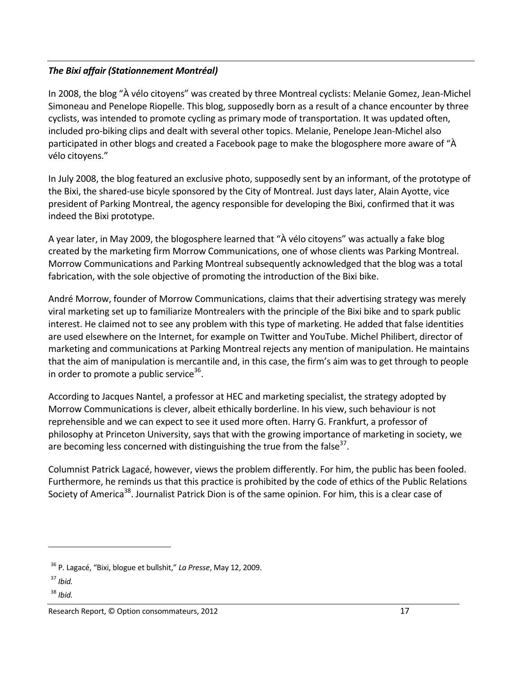### *The Bixi affair (Stationnement Montréal)*

In 2008, the blog "À vélo citoyens" was created by three Montreal cyclists: Melanie Gomez, Jean‐Michel Simoneau and Penelope Riopelle. This blog, supposedly born as a result of a chance encounter by three cyclists, was intended to promote cycling as primary mode of transportation. It was updated often, included pro‐biking clips and dealt with several other topics. Melanie, Penelope Jean‐Michel also participated in other blogs and created a Facebook page to make the blogosphere more aware of "À vélo citoyens."

In July 2008, the blog featured an exclusive photo, supposedly sent by an informant, of the prototype of the Bixi, the shared‐use bicyle sponsored by the City of Montreal. Just days later, Alain Ayotte, vice president of Parking Montreal, the agency responsible for developing the Bixi, confirmed that it was indeed the Bixi prototype.

A year later, in May 2009, the blogosphere learned that "À vélo citoyens" was actually a fake blog created by the marketing firm Morrow Communications, one of whose clients was Parking Montreal. Morrow Communications and Parking Montreal subsequently acknowledged that the blog was a total fabrication, with the sole objective of promoting the introduction of the Bixi bike.

André Morrow, founder of Morrow Communications, claims that their advertising strategy was merely viral marketing set up to familiarize Montrealers with the principle of the Bixi bike and to spark public interest. He claimed not to see any problem with this type of marketing. He added that false identities are used elsewhere on the Internet, for example on Twitter and YouTube. Michel Philibert, director of marketing and communications at Parking Montreal rejects any mention of manipulation. He maintains that the aim of manipulation is mercantile and, in this case, the firm's aim was to get through to people in order to promote a public service<sup>36</sup>.

According to Jacques Nantel, a professor at HEC and marketing specialist, the strategy adopted by Morrow Communications is clever, albeit ethically borderline. In his view, such behaviour is not reprehensible and we can expect to see it used more often. Harry G. Frankfurt, a professor of philosophy at Princeton University, says that with the growing importance of marketing in society, we are becoming less concerned with distinguishing the true from the false $37$ .

Columnist Patrick Lagacé, however, views the problem differently. For him, the public has been fooled. Furthermore, he reminds us that this practice is prohibited by the code of ethics of the Public Relations Society of America<sup>38</sup>. Journalist Patrick Dion is of the same opinion. For him, this is a clear case of

<sup>36</sup> P. Lagacé, "Bixi, blogue et bullshit," *La Presse*, May 12, 2009.

<sup>37</sup> *Ibid.*

<sup>38</sup> *Ibid.*

Research Report, © Option consommateurs, 2012 17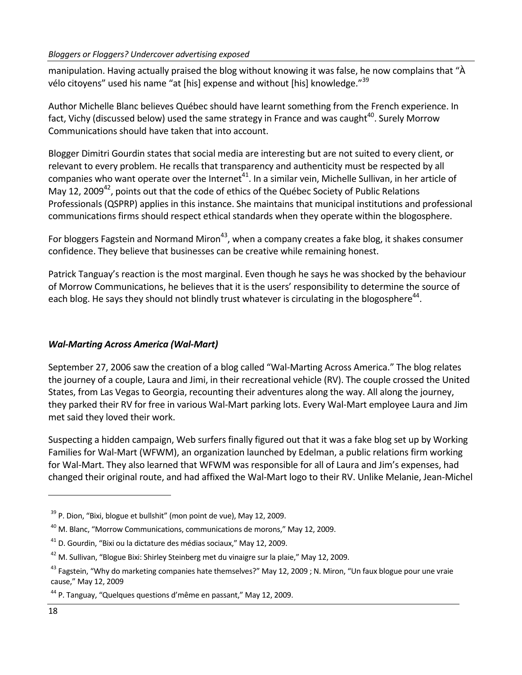#### *Bloggers or Floggers? Undercover advertising exposed*

manipulation. Having actually praised the blog without knowing it was false, he now complains that "À vélo citoyens" used his name "at [his] expense and without [his] knowledge."<sup>39</sup>

Author Michelle Blanc believes Québec should have learnt something from the French experience. In fact, Vichy (discussed below) used the same strategy in France and was caught<sup>40</sup>. Surely Morrow Communications should have taken that into account.

Blogger Dimitri Gourdin states that social media are interesting but are not suited to every client, or relevant to every problem. He recalls that transparency and authenticity must be respected by all companies who want operate over the Internet<sup>41</sup>. In a similar vein, Michelle Sullivan, in her article of May 12, 2009<sup>42</sup>, points out that the code of ethics of the Québec Society of Public Relations Professionals (QSPRP) applies in this instance. She maintains that municipal institutions and professional communications firms should respect ethical standards when they operate within the blogosphere.

For bloggers Fagstein and Normand Miron<sup>43</sup>, when a company creates a fake blog, it shakes consumer confidence. They believe that businesses can be creative while remaining honest.

Patrick Tanguay's reaction is the most marginal. Even though he says he was shocked by the behaviour of Morrow Communications, he believes that it is the users' responsibility to determine the source of each blog. He says they should not blindly trust whatever is circulating in the blogosphere<sup>44</sup>.

### *Wal‐Marting Across America (Wal‐Mart)*

September 27, 2006 saw the creation of a blog called "Wal‐Marting Across America." The blog relates the journey of a couple, Laura and Jimi, in their recreational vehicle (RV). The couple crossed the United States, from Las Vegas to Georgia, recounting their adventures along the way. All along the journey, they parked their RV for free in various Wal‐Mart parking lots. Every Wal‐Mart employee Laura and Jim met said they loved their work.

Suspecting a hidden campaign, Web surfers finally figured out that it was a fake blog set up by Working Families for Wal‐Mart (WFWM), an organization launched by Edelman, a public relations firm working for Wal‐Mart. They also learned that WFWM was responsible for all of Laura and Jim's expenses, had changed their original route, and had affixed the Wal‐Mart logo to their RV. Unlike Melanie, Jean‐Michel

 $39$  P. Dion, "Bixi, blogue et bullshit" (mon point de vue), May 12, 2009.

 $^{40}$  M. Blanc, "Morrow Communications, communications de morons," May 12, 2009.

 $41$  D. Gourdin, "Bixi ou la dictature des médias sociaux," May 12, 2009.

 $42$  M. Sullivan, "Blogue Bixi: Shirley Steinberg met du vinaigre sur la plaie," May 12, 2009.

<sup>&</sup>lt;sup>43</sup> Fagstein, "Why do marketing companies hate themselves?" May 12, 2009 ; N. Miron, "Un faux blogue pour une vraie cause," May 12, 2009

<sup>44</sup> P. Tanguay, "Quelques questions d'même en passant," May 12, 2009.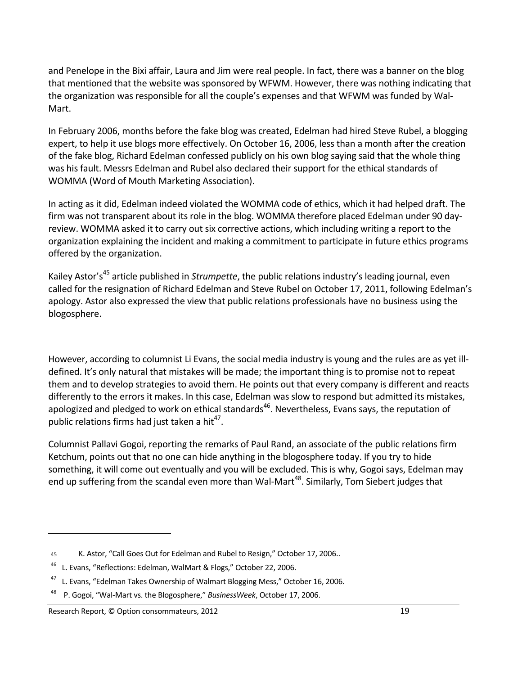and Penelope in the Bixi affair, Laura and Jim were real people. In fact, there was a banner on the blog that mentioned that the website was sponsored by WFWM. However, there was nothing indicating that the organization was responsible for all the couple's expenses and that WFWM was funded by Wal‐ Mart.

In February 2006, months before the fake blog was created, Edelman had hired Steve Rubel, a blogging expert, to help it use blogs more effectively. On October 16, 2006, less than a month after the creation of the fake blog, Richard Edelman confessed publicly on his own blog saying said that the whole thing was his fault. Messrs Edelman and Rubel also declared their support for the ethical standards of WOMMA (Word of Mouth Marketing Association).

In acting as it did, Edelman indeed violated the WOMMA code of ethics, which it had helped draft. The firm was not transparent about its role in the blog. WOMMA therefore placed Edelman under 90 day‐ review. WOMMA asked it to carry out six corrective actions, which including writing a report to the organization explaining the incident and making a commitment to participate in future ethics programs offered by the organization.

Kailev Astor's<sup>45</sup> article published in *Strumpette*, the public relations industry's leading journal, even called for the resignation of Richard Edelman and Steve Rubel on October 17, 2011, following Edelman's apology. Astor also expressed the view that public relations professionals have no business using the blogosphere.

However, according to columnist Li Evans, the social media industry is young and the rules are as yet ill‐ defined. It's only natural that mistakes will be made; the important thing is to promise not to repeat them and to develop strategies to avoid them. He points out that every company is different and reacts differently to the errors it makes. In this case, Edelman was slow to respond but admitted its mistakes, apologized and pledged to work on ethical standards<sup>46</sup>. Nevertheless, Evans says, the reputation of public relations firms had just taken a hit $^{47}$ .

Columnist Pallavi Gogoi, reporting the remarks of Paul Rand, an associate of the public relations firm Ketchum, points out that no one can hide anything in the blogosphere today. If you try to hide something, it will come out eventually and you will be excluded. This is why, Gogoi says, Edelman may end up suffering from the scandal even more than Wal-Mart<sup>48</sup>. Similarly, Tom Siebert judges that

<sup>45</sup> K. Astor, "Call Goes Out for Edelman and Rubel to Resign," October 17, 2006..

<sup>&</sup>lt;sup>46</sup> L. Evans, "Reflections: Edelman, WalMart & Flogs," October 22, 2006.

<sup>&</sup>lt;sup>47</sup> L. Evans, "Edelman Takes Ownership of Walmart Blogging Mess," October 16, 2006.

<sup>48</sup> P. Gogoi, "Wal‐Mart vs. the Blogosphere," *BusinessWeek*, October 17, 2006.

Research Report, © Option consommateurs, 2012 **19** and the search Report of the search Report, 0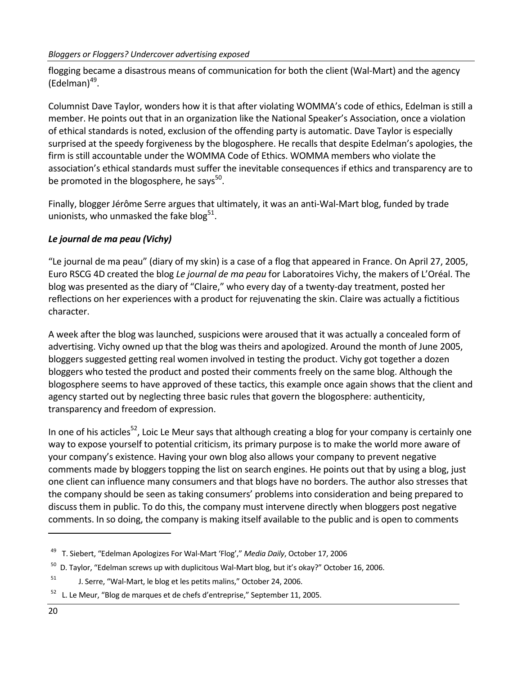flogging became a disastrous means of communication for both the client (Wal‐Mart) and the agency  $(Edelman)^{49}$ .

Columnist Dave Taylor, wonders how it is that after violating WOMMA's code of ethics, Edelman is still a member. He points out that in an organization like the National Speaker's Association, once a violation of ethical standards is noted, exclusion of the offending party is automatic. Dave Taylor is especially surprised at the speedy forgiveness by the blogosphere. He recalls that despite Edelman's apologies, the firm is still accountable under the WOMMA Code of Ethics. WOMMA members who violate the association's ethical standards must suffer the inevitable consequences if ethics and transparency are to be promoted in the blogosphere, he says<sup>50</sup>.

Finally, blogger Jérôme Serre argues that ultimately, it was an anti‐Wal‐Mart blog, funded by trade unionists, who unmasked the fake blog<sup>51</sup>.

### *Le journal de ma peau (Vichy)*

"Le journal de ma peau" (diary of my skin) is a case of a flog that appeared in France. On April 27, 2005, Euro RSCG 4D created the blog *Le journal de ma peau* for Laboratoires Vichy, the makers of L'Oréal. The blog was presented as the diary of "Claire," who every day of a twenty‐day treatment, posted her reflections on her experiences with a product for rejuvenating the skin. Claire was actually a fictitious character.

A week after the blog was launched, suspicions were aroused that it was actually a concealed form of advertising. Vichy owned up that the blog was theirs and apologized. Around the month of June 2005, bloggers suggested getting real women involved in testing the product. Vichy got together a dozen bloggers who tested the product and posted their comments freely on the same blog. Although the blogosphere seems to have approved of these tactics, this example once again shows that the client and agency started out by neglecting three basic rules that govern the blogosphere: authenticity, transparency and freedom of expression.

In one of his acticles<sup>52</sup>, Loic Le Meur says that although creating a blog for your company is certainly one way to expose yourself to potential criticism, its primary purpose is to make the world more aware of your company's existence. Having your own blog also allows your company to prevent negative comments made by bloggers topping the list on search engines. He points out that by using a blog, just one client can influence many consumers and that blogs have no borders. The author also stresses that the company should be seen as taking consumers' problems into consideration and being prepared to discuss them in public. To do this, the company must intervene directly when bloggers post negative comments. In so doing, the company is making itself available to the public and is open to comments

<sup>49</sup> T. Siebert, "Edelman Apologizes For Wal‐Mart 'Flog'," *Media Daily*, October 17, 2006

 $50$  D. Taylor, "Edelman screws up with duplicitous Wal-Mart blog, but it's okay?" October 16, 2006.

<sup>&</sup>lt;sup>51</sup> J. Serre, "Wal-Mart, le blog et les petits malins," October 24, 2006.

 $52$  L. Le Meur, "Blog de marques et de chefs d'entreprise," September 11, 2005.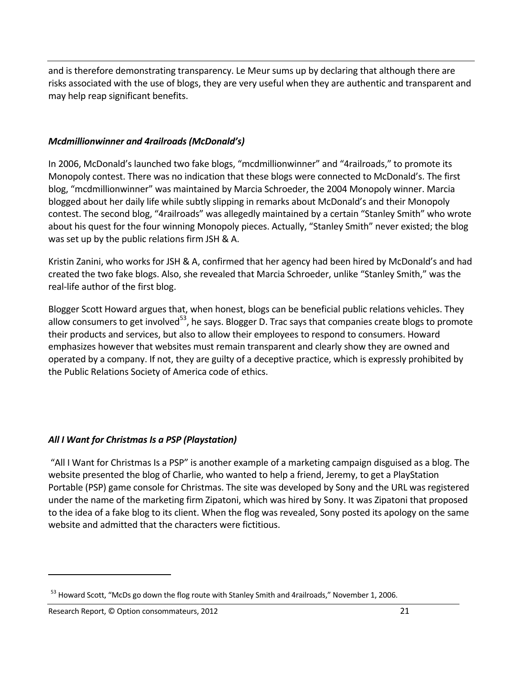and is therefore demonstrating transparency. Le Meur sums up by declaring that although there are risks associated with the use of blogs, they are very useful when they are authentic and transparent and may help reap significant benefits.

#### *Mcdmillionwinner and 4railroads (McDonald's)*

In 2006, McDonald's launched two fake blogs, "mcdmillionwinner" and "4railroads," to promote its Monopoly contest. There was no indication that these blogs were connected to McDonald's. The first blog, "mcdmillionwinner" was maintained by Marcia Schroeder, the 2004 Monopoly winner. Marcia blogged about her daily life while subtly slipping in remarks about McDonald's and their Monopoly contest. The second blog, "4railroads" was allegedly maintained by a certain "Stanley Smith" who wrote about his quest for the four winning Monopoly pieces. Actually, "Stanley Smith" never existed; the blog was set up by the public relations firm JSH & A.

Kristin Zanini, who works for JSH & A, confirmed that her agency had been hired by McDonald's and had created the two fake blogs. Also, she revealed that Marcia Schroeder, unlike "Stanley Smith," was the real‐life author of the first blog.

Blogger Scott Howard argues that, when honest, blogs can be beneficial public relations vehicles. They allow consumers to get involved $53$ , he says. Blogger D. Trac says that companies create blogs to promote their products and services, but also to allow their employees to respond to consumers. Howard emphasizes however that websites must remain transparent and clearly show they are owned and operated by a company. If not, they are guilty of a deceptive practice, which is expressly prohibited by the Public Relations Society of America code of ethics.

### *All I Want for Christmas Is a PSP (Playstation)*

"All I Want for Christmas Is a PSP" is another example of a marketing campaign disguised as a blog. The website presented the blog of Charlie, who wanted to help a friend, Jeremy, to get a PlayStation Portable (PSP) game console for Christmas. The site was developed by Sony and the URL was registered under the name of the marketing firm Zipatoni, which was hired by Sony. It was Zipatoni that proposed to the idea of a fake blog to its client. When the flog was revealed, Sony posted its apology on the same website and admitted that the characters were fictitious.

<sup>&</sup>lt;sup>53</sup> Howard Scott, "McDs go down the flog route with Stanley Smith and 4railroads," November 1, 2006.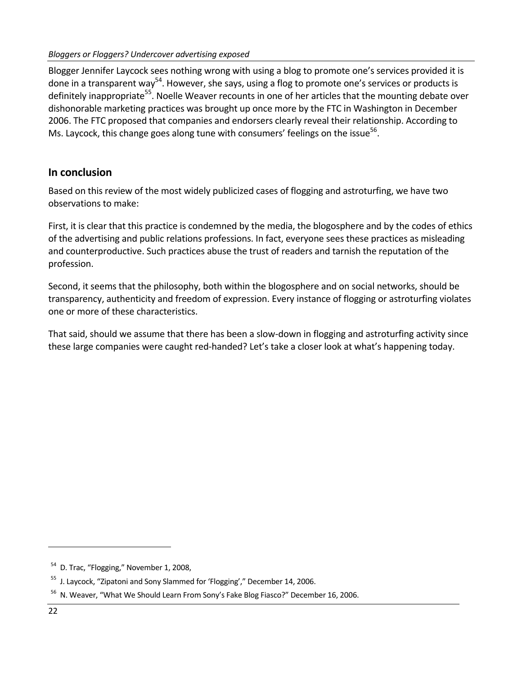Blogger Jennifer Laycock sees nothing wrong with using a blog to promote one's services provided it is done in a transparent way<sup>54</sup>. However, she says, using a flog to promote one's services or products is definitely inappropriate<sup>55</sup>. Noelle Weaver recounts in one of her articles that the mounting debate over dishonorable marketing practices was brought up once more by the FTC in Washington in December 2006. The FTC proposed that companies and endorsers clearly reveal their relationship. According to Ms. Laycock, this change goes along tune with consumers' feelings on the issue<sup>56</sup>.

### **In conclusion**

Based on this review of the most widely publicized cases of flogging and astroturfing, we have two observations to make:

First, it is clear that this practice is condemned by the media, the blogosphere and by the codes of ethics of the advertising and public relations professions. In fact, everyone sees these practices as misleading and counterproductive. Such practices abuse the trust of readers and tarnish the reputation of the profession.

Second, it seems that the philosophy, both within the blogosphere and on social networks, should be transparency, authenticity and freedom of expression. Every instance of flogging or astroturfing violates one or more of these characteristics.

That said, should we assume that there has been a slow‐down in flogging and astroturfing activity since these large companies were caught red‐handed? Let's take a closer look at what's happening today.

<sup>&</sup>lt;sup>54</sup> D. Trac, "Flogging," November 1, 2008,

<sup>&</sup>lt;sup>55</sup> J. Laycock, "Zipatoni and Sony Slammed for 'Flogging'," December 14, 2006.

<sup>&</sup>lt;sup>56</sup> N. Weaver, "What We Should Learn From Sony's Fake Blog Fiasco?" December 16, 2006.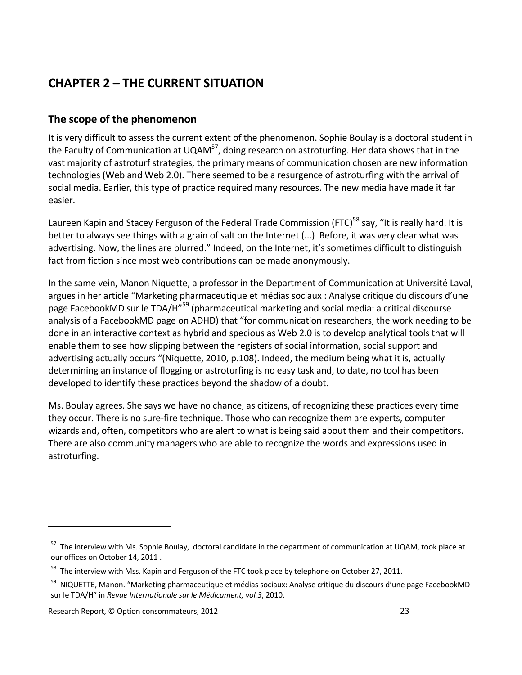# **CHAPTER 2 – THE CURRENT SITUATION**

## **The scope of the phenomenon**

It is very difficult to assess the current extent of the phenomenon. Sophie Boulay is a doctoral student in the Faculty of Communication at UQAM<sup>57</sup>, doing research on astroturfing. Her data shows that in the vast majority of astroturf strategies, the primary means of communication chosen are new information technologies (Web and Web 2.0). There seemed to be a resurgence of astroturfing with the arrival of social media. Earlier, this type of practice required many resources. The new media have made it far easier.

Laureen Kapin and Stacey Ferguson of the Federal Trade Commission (FTC)<sup>58</sup> say, "It is really hard. It is better to always see things with a grain of salt on the Internet (...) Before, it was very clear what was advertising. Now, the lines are blurred." Indeed, on the Internet, it's sometimes difficult to distinguish fact from fiction since most web contributions can be made anonymously.

In the same vein, Manon Niquette, a professor in the Department of Communication at Université Laval, argues in her article "Marketing pharmaceutique et médias sociaux : Analyse critique du discours d'une page FacebookMD sur le TDA/H"59 (pharmaceutical marketing and social media: a critical discourse analysis of a FacebookMD page on ADHD) that "for communication researchers, the work needing to be done in an interactive context as hybrid and specious as Web 2.0 is to develop analytical tools that will enable them to see how slipping between the registers of social information, social support and advertising actually occurs "(Niquette, 2010, p.108). Indeed, the medium being what it is, actually determining an instance of flogging or astroturfing is no easy task and, to date, no tool has been developed to identify these practices beyond the shadow of a doubt.

Ms. Boulay agrees. She says we have no chance, as citizens, of recognizing these practices every time they occur. There is no sure‐fire technique. Those who can recognize them are experts, computer wizards and, often, competitors who are alert to what is being said about them and their competitors. There are also community managers who are able to recognize the words and expressions used in astroturfing.

<sup>&</sup>lt;sup>57</sup> The interview with Ms. Sophie Boulay, doctoral candidate in the department of communication at UQAM, took place at our offices on October 14, 2011 .

<sup>&</sup>lt;sup>58</sup> The interview with Mss. Kapin and Ferguson of the FTC took place by telephone on October 27, 2011.

<sup>&</sup>lt;sup>59</sup> NIQUETTE, Manon. "Marketing pharmaceutique et médias sociaux: Analyse critique du discours d'une page FacebookMD sur le TDA/H" in *Revue Internationale sur le Médicament, vol.3*, 2010.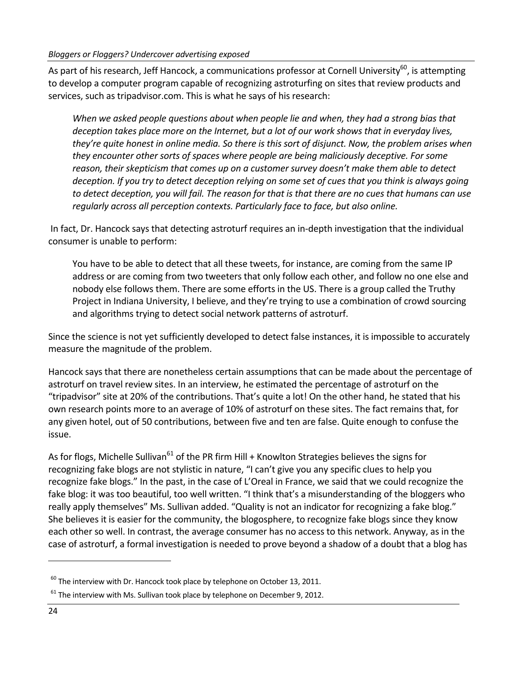As part of his research, Jeff Hancock, a communications professor at Cornell University<sup>60</sup>, is attempting to develop a computer program capable of recognizing astroturfing on sites that review products and services, such as tripadvisor.com. This is what he says of his research:

*When we asked people questions about when people lie and when, they had a strong bias that deception takes place more on the Internet, but a lot of our work shows that in everyday lives,* they're quite honest in online media. So there is this sort of disjunct. Now, the problem arises when *they encounter other sorts of spaces where people are being maliciously deceptive. For some reason, their skepticism that comes up on a customer survey doesn't make them able to detect* deception. If you try to detect deception relying on some set of cues that you think is always going to detect deception, you will fail. The reason for that is that there are no cues that humans can use *regularly across all perception contexts. Particularly face to face, but also online.*

In fact, Dr. Hancock says that detecting astroturf requires an in‐depth investigation that the individual consumer is unable to perform:

You have to be able to detect that all these tweets, for instance, are coming from the same IP address or are coming from two tweeters that only follow each other, and follow no one else and nobody else follows them. There are some efforts in the US. There is a group called the Truthy Project in Indiana University, I believe, and they're trying to use a combination of crowd sourcing and algorithms trying to detect social network patterns of astroturf.

Since the science is not yet sufficiently developed to detect false instances, it is impossible to accurately measure the magnitude of the problem.

Hancock says that there are nonetheless certain assumptions that can be made about the percentage of astroturf on travel review sites. In an interview, he estimated the percentage of astroturf on the "tripadvisor" site at 20% of the contributions. That's quite a lot! On the other hand, he stated that his own research points more to an average of 10% of astroturf on these sites. The fact remains that, for any given hotel, out of 50 contributions, between five and ten are false. Quite enough to confuse the issue.

As for flogs, Michelle Sullivan<sup>61</sup> of the PR firm Hill + Knowlton Strategies believes the signs for recognizing fake blogs are not stylistic in nature, "I can't give you any specific clues to help you recognize fake blogs." In the past, in the case of L'Oreal in France, we said that we could recognize the fake blog: it was too beautiful, too well written. "I think that's a misunderstanding of the bloggers who really apply themselves" Ms. Sullivan added. "Quality is not an indicator for recognizing a fake blog." She believes it is easier for the community, the blogosphere, to recognize fake blogs since they know each other so well. In contrast, the average consumer has no access to this network. Anyway, as in the case of astroturf, a formal investigation is needed to prove beyond a shadow of a doubt that a blog has

 $^{60}$  The interview with Dr. Hancock took place by telephone on October 13, 2011.

 $61$  The interview with Ms. Sullivan took place by telephone on December 9, 2012.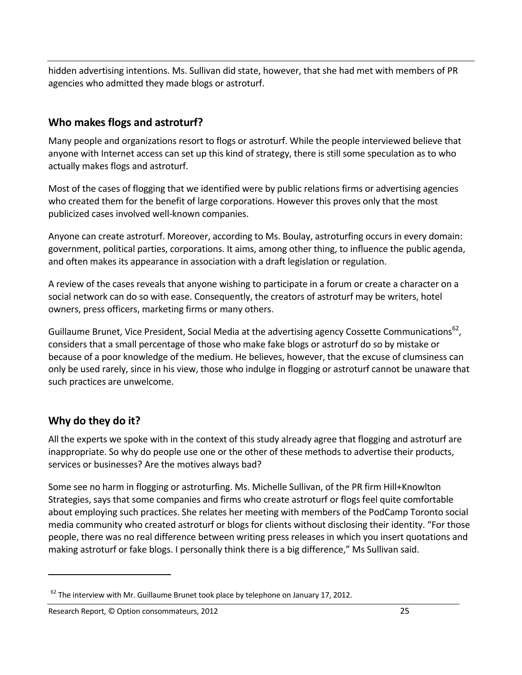hidden advertising intentions. Ms. Sullivan did state, however, that she had met with members of PR agencies who admitted they made blogs or astroturf.

### **Who makes flogs and astroturf?**

Many people and organizations resort to flogs or astroturf. While the people interviewed believe that anyone with Internet access can set up this kind of strategy, there is still some speculation as to who actually makes flogs and astroturf.

Most of the cases of flogging that we identified were by public relations firms or advertising agencies who created them for the benefit of large corporations. However this proves only that the most publicized cases involved well‐known companies.

Anyone can create astroturf. Moreover, according to Ms. Boulay, astroturfing occurs in every domain: government, political parties, corporations. It aims, among other thing, to influence the public agenda, and often makes its appearance in association with a draft legislation or regulation.

A review of the cases reveals that anyone wishing to participate in a forum or create a character on a social network can do so with ease. Consequently, the creators of astroturf may be writers, hotel owners, press officers, marketing firms or many others.

Guillaume Brunet, Vice President, Social Media at the advertising agency Cossette Communications<sup>62</sup>, considers that a small percentage of those who make fake blogs or astroturf do so by mistake or because of a poor knowledge of the medium. He believes, however, that the excuse of clumsiness can only be used rarely, since in his view, those who indulge in flogging or astroturf cannot be unaware that such practices are unwelcome.

## **Why do they do it?**

All the experts we spoke with in the context of this study already agree that flogging and astroturf are inappropriate. So why do people use one or the other of these methods to advertise their products, services or businesses? Are the motives always bad?

Some see no harm in flogging or astroturfing. Ms. Michelle Sullivan, of the PR firm Hill+Knowlton Strategies, says that some companies and firms who create astroturf or flogs feel quite comfortable about employing such practices. She relates her meeting with members of the PodCamp Toronto social media community who created astroturf or blogs for clients without disclosing their identity. "For those people, there was no real difference between writing press releases in which you insert quotations and making astroturf or fake blogs. I personally think there is a big difference," Ms Sullivan said.

 $62$  The interview with Mr. Guillaume Brunet took place by telephone on January 17, 2012.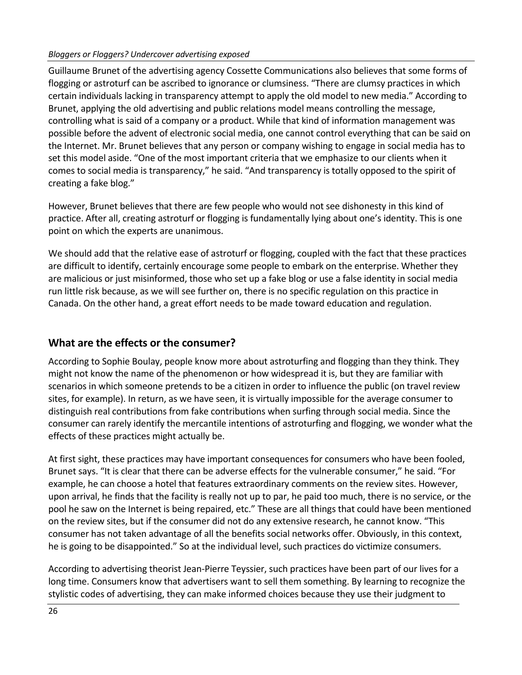#### *Bloggers or Floggers? Undercover advertising exposed*

Guillaume Brunet of the advertising agency Cossette Communications also believes that some forms of flogging or astroturf can be ascribed to ignorance or clumsiness. "There are clumsy practices in which certain individuals lacking in transparency attempt to apply the old model to new media." According to Brunet, applying the old advertising and public relations model means controlling the message, controlling what is said of a company or a product. While that kind of information management was possible before the advent of electronic social media, one cannot control everything that can be said on the Internet. Mr. Brunet believes that any person or company wishing to engage in social media has to set this model aside. "One of the most important criteria that we emphasize to our clients when it comes to social media is transparency," he said. "And transparency is totally opposed to the spirit of creating a fake blog."

However, Brunet believes that there are few people who would not see dishonesty in this kind of practice. After all, creating astroturf or flogging is fundamentally lying about one's identity. This is one point on which the experts are unanimous.

We should add that the relative ease of astroturf or flogging, coupled with the fact that these practices are difficult to identify, certainly encourage some people to embark on the enterprise. Whether they are malicious or just misinformed, those who set up a fake blog or use a false identity in social media run little risk because, as we will see further on, there is no specific regulation on this practice in Canada. On the other hand, a great effort needs to be made toward education and regulation.

### **What are the effects or the consumer?**

According to Sophie Boulay, people know more about astroturfing and flogging than they think. They might not know the name of the phenomenon or how widespread it is, but they are familiar with scenarios in which someone pretends to be a citizen in order to influence the public (on travel review sites, for example). In return, as we have seen, it is virtually impossible for the average consumer to distinguish real contributions from fake contributions when surfing through social media. Since the consumer can rarely identify the mercantile intentions of astroturfing and flogging, we wonder what the effects of these practices might actually be.

At first sight, these practices may have important consequences for consumers who have been fooled, Brunet says. "It is clear that there can be adverse effects for the vulnerable consumer," he said. "For example, he can choose a hotel that features extraordinary comments on the review sites. However, upon arrival, he finds that the facility is really not up to par, he paid too much, there is no service, or the pool he saw on the Internet is being repaired, etc." These are all things that could have been mentioned on the review sites, but if the consumer did not do any extensive research, he cannot know. "This consumer has not taken advantage of all the benefits social networks offer. Obviously, in this context, he is going to be disappointed." So at the individual level, such practices do victimize consumers.

According to advertising theorist Jean‐Pierre Teyssier, such practices have been part of our lives for a long time. Consumers know that advertisers want to sell them something. By learning to recognize the stylistic codes of advertising, they can make informed choices because they use their judgment to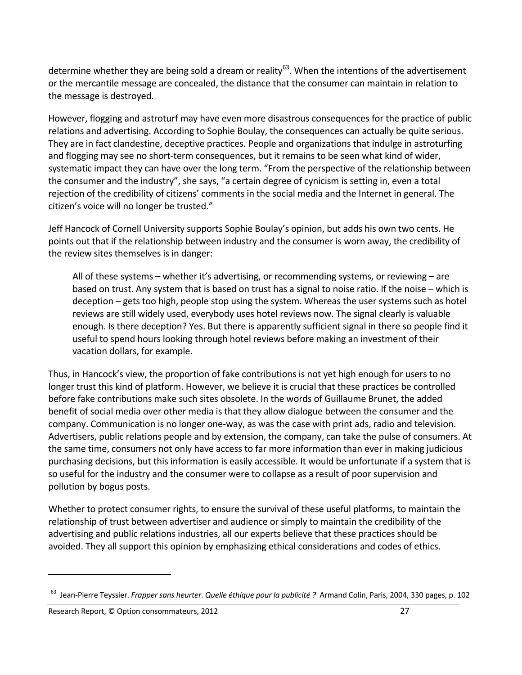determine whether they are being sold a dream or reality<sup>63</sup>. When the intentions of the advertisement or the mercantile message are concealed, the distance that the consumer can maintain in relation to the message is destroyed.

However, flogging and astroturf may have even more disastrous consequences for the practice of public relations and advertising. According to Sophie Boulay, the consequences can actually be quite serious. They are in fact clandestine, deceptive practices. People and organizations that indulge in astroturfing and flogging may see no short-term consequences, but it remains to be seen what kind of wider, systematic impact they can have over the long term. "From the perspective of the relationship between the consumer and the industry", she says, "a certain degree of cynicism is setting in, even a total rejection of the credibility of citizens' comments in the social media and the Internet in general. The citizen's voice will no longer be trusted."

Jeff Hancock of Cornell University supports Sophie Boulay's opinion, but adds his own two cents. He points out that if the relationship between industry and the consumer is worn away, the credibility of the review sites themselves is in danger:

All of these systems – whether it's advertising, or recommending systems, or reviewing – are based on trust. Any system that is based on trust has a signal to noise ratio. If the noise – which is deception – gets too high, people stop using the system. Whereas the user systems such as hotel reviews are still widely used, everybody uses hotel reviews now. The signal clearly is valuable enough. Is there deception? Yes. But there is apparently sufficient signal in there so people find it useful to spend hours looking through hotel reviews before making an investment of their vacation dollars, for example.

Thus, in Hancock's view, the proportion of fake contributions is not yet high enough for users to no longer trust this kind of platform. However, we believe it is crucial that these practices be controlled before fake contributions make such sites obsolete. In the words of Guillaume Brunet, the added benefit of social media over other media is that they allow dialogue between the consumer and the company. Communication is no longer one‐way, as was the case with print ads, radio and television. Advertisers, public relations people and by extension, the company, can take the pulse of consumers. At the same time, consumers not only have access to far more information than ever in making judicious purchasing decisions, but this information is easily accessible. It would be unfortunate if a system that is so useful for the industry and the consumer were to collapse as a result of poor supervision and pollution by bogus posts.

Whether to protect consumer rights, to ensure the survival of these useful platforms, to maintain the relationship of trust between advertiser and audience or simply to maintain the credibility of the advertising and public relations industries, all our experts believe that these practices should be avoided. They all support this opinion by emphasizing ethical considerations and codes of ethics.

<sup>63</sup> Jean‐Pierre Teyssier. *Frapper sans heurter. Quelle éthique pour la publicité ?* Armand Colin, Paris, 2004, 330 pages, p. 102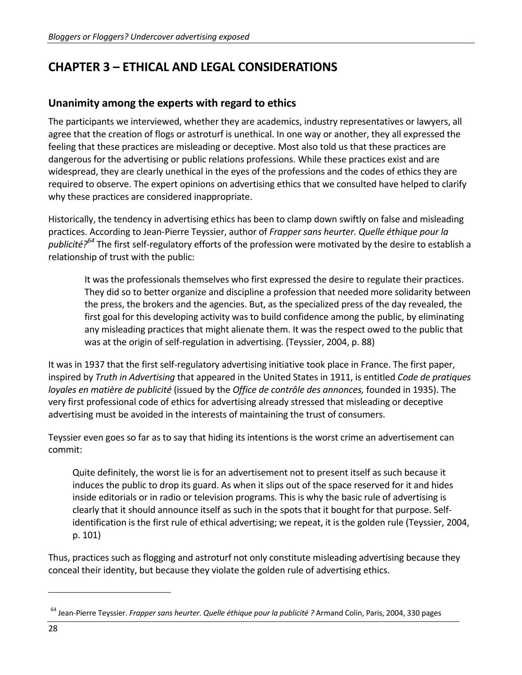# **CHAPTER 3 – ETHICAL AND LEGAL CONSIDERATIONS**

### **Unanimity among the experts with regard to ethics**

The participants we interviewed, whether they are academics, industry representatives or lawyers, all agree that the creation of flogs or astroturf is unethical. In one way or another, they all expressed the feeling that these practices are misleading or deceptive. Most also told us that these practices are dangerous for the advertising or public relations professions. While these practices exist and are widespread, they are clearly unethical in the eyes of the professions and the codes of ethics they are required to observe. The expert opinions on advertising ethics that we consulted have helped to clarify why these practices are considered inappropriate.

Historically, the tendency in advertising ethics has been to clamp down swiftly on false and misleading practices. According to Jean‐Pierre Teyssier, author of *Frapper sans heurter. Quelle éthique pour la publicité?64* The first self‐regulatory efforts of the profession were motivated by the desire to establish a relationship of trust with the public:

It was the professionals themselves who first expressed the desire to regulate their practices. They did so to better organize and discipline a profession that needed more solidarity between the press, the brokers and the agencies. But, as the specialized press of the day revealed, the first goal for this developing activity was to build confidence among the public, by eliminating any misleading practices that might alienate them. It was the respect owed to the public that was at the origin of self‐regulation in advertising. (Teyssier, 2004, p. 88)

It was in 1937 that the first self‐regulatory advertising initiative took place in France. The first paper, inspired by *Truth in Advertising* that appeared in the United States in 1911, is entitled *Code de pratiques loyales en matière de publicité* (issued by the *Office de contrôle des annonces,* founded in 1935). The very first professional code of ethics for advertising already stressed that misleading or deceptive advertising must be avoided in the interests of maintaining the trust of consumers.

Teyssier even goes so far as to say that hiding its intentions is the worst crime an advertisement can commit:

Quite definitely, the worst lie is for an advertisement not to present itself as such because it induces the public to drop its guard. As when it slips out of the space reserved for it and hides inside editorials or in radio or television programs. This is why the basic rule of advertising is clearly that it should announce itself as such in the spots that it bought for that purpose. Self‐ identification is the first rule of ethical advertising; we repeat, it is the golden rule (Teyssier, 2004, p. 101)

Thus, practices such as flogging and astroturf not only constitute misleading advertising because they conceal their identity, but because they violate the golden rule of advertising ethics.

<sup>64</sup> Jean‐Pierre Teyssier. *Frapper sans heurter. Quelle éthique pour la publicité ?* Armand Colin, Paris, 2004, 330 pages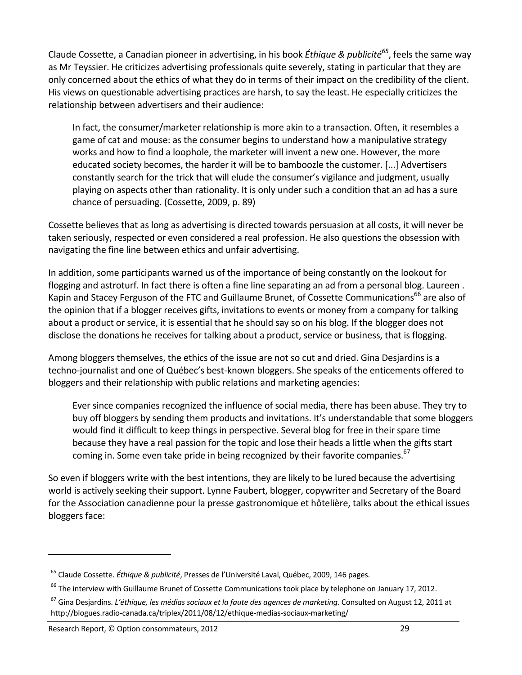Claude Cossette, a Canadian pioneer in advertising, in his book *Éthique & publicité65*, feels the same way as Mr Teyssier. He criticizes advertising professionals quite severely, stating in particular that they are only concerned about the ethics of what they do in terms of their impact on the credibility of the client. His views on questionable advertising practices are harsh, to say the least. He especially criticizes the relationship between advertisers and their audience:

In fact, the consumer/marketer relationship is more akin to a transaction. Often, it resembles a game of cat and mouse: as the consumer begins to understand how a manipulative strategy works and how to find a loophole, the marketer will invent a new one. However, the more educated society becomes, the harder it will be to bamboozle the customer. [...] Advertisers constantly search for the trick that will elude the consumer's vigilance and judgment, usually playing on aspects other than rationality. It is only under such a condition that an ad has a sure chance of persuading. (Cossette, 2009, p. 89)

Cossette believes that as long as advertising is directed towards persuasion at all costs, it will never be taken seriously, respected or even considered a real profession. He also questions the obsession with navigating the fine line between ethics and unfair advertising.

In addition, some participants warned us of the importance of being constantly on the lookout for flogging and astroturf. In fact there is often a fine line separating an ad from a personal blog. Laureen . Kapin and Stacey Ferguson of the FTC and Guillaume Brunet, of Cossette Communications<sup>66</sup> are also of the opinion that if a blogger receives gifts, invitations to events or money from a company for talking about a product or service, it is essential that he should say so on his blog. If the blogger does not disclose the donations he receives for talking about a product, service or business, that is flogging.

Among bloggers themselves, the ethics of the issue are not so cut and dried. Gina Desjardins is a techno‐journalist and one of Québec's best‐known bloggers. She speaks of the enticements offered to bloggers and their relationship with public relations and marketing agencies:

Ever since companies recognized the influence of social media, there has been abuse. They try to buy off bloggers by sending them products and invitations. It's understandable that some bloggers would find it difficult to keep things in perspective. Several blog for free in their spare time because they have a real passion for the topic and lose their heads a little when the gifts start coming in. Some even take pride in being recognized by their favorite companies. $67$ 

So even if bloggers write with the best intentions, they are likely to be lured because the advertising world is actively seeking their support. Lynne Faubert, blogger, copywriter and Secretary of the Board for the Association canadienne pour la presse gastronomique et hôtelière, talks about the ethical issues bloggers face:

<sup>65</sup> Claude Cossette. *Éthique & publicité*, Presses de l'Université Laval, Québec, 2009, 146 pages.

<sup>&</sup>lt;sup>66</sup> The interview with Guillaume Brunet of Cossette Communications took place by telephone on January 17, 2012.

<sup>67</sup> Gina Desjardins. *L'éthique, les médias sociaux et la faute des agences de marketing*. Consulted on August 12, 2011 at http://blogues.radio-canada.ca/triplex/2011/08/12/ethique-medias-sociaux-marketing/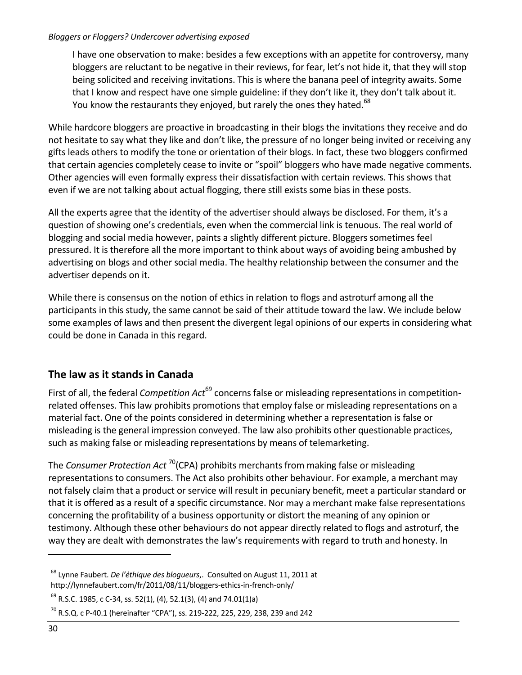I have one observation to make: besides a few exceptions with an appetite for controversy, many bloggers are reluctant to be negative in their reviews, for fear, let's not hide it, that they will stop being solicited and receiving invitations. This is where the banana peel of integrity awaits. Some that I know and respect have one simple guideline: if they don't like it, they don't talk about it. You know the restaurants they enjoyed, but rarely the ones they hated.<sup>68</sup>

While hardcore bloggers are proactive in broadcasting in their blogs the invitations they receive and do not hesitate to say what they like and don't like, the pressure of no longer being invited or receiving any gifts leads others to modify the tone or orientation of their blogs. In fact, these two bloggers confirmed that certain agencies completely cease to invite or "spoil" bloggers who have made negative comments. Other agencies will even formally express their dissatisfaction with certain reviews. This shows that even if we are not talking about actual flogging, there still exists some bias in these posts.

All the experts agree that the identity of the advertiser should always be disclosed. For them, it's a question of showing one's credentials, even when the commercial link is tenuous. The real world of blogging and social media however, paints a slightly different picture. Bloggers sometimes feel pressured. It is therefore all the more important to think about ways of avoiding being ambushed by advertising on blogs and other social media. The healthy relationship between the consumer and the advertiser depends on it.

While there is consensus on the notion of ethics in relation to flogs and astroturf among all the participants in this study, the same cannot be said of their attitude toward the law. We include below some examples of laws and then present the divergent legal opinions of our experts in considering what could be done in Canada in this regard.

## **The law as it stands in Canada**

First of all, the federal *Competition Act*<sup>69</sup> concerns false or misleading representations in competitionrelated offenses. This law prohibits promotions that employ false or misleading representations on a material fact. One of the points considered in determining whether a representation is false or misleading is the general impression conveyed. The law also prohibits other questionable practices, such as making false or misleading representations by means of telemarketing.

The *Consumer Protection Act* 70(CPA) prohibits merchants from making false or misleading representations to consumers. The Act also prohibits other behaviour. For example, a merchant may not falsely claim that a product or service will result in pecuniary benefit, meet a particular standard or that it is offered as a result of a specific circumstance. Nor may a merchant make false representations concerning the profitability of a business opportunity or distort the meaning of any opinion or testimony. Although these other behaviours do not appear directly related to flogs and astroturf, the way they are dealt with demonstrates the law's requirements with regard to truth and honesty. In

<sup>68</sup> Lynne Faubert. *De l'éthique des blogueurs*,. Consulted on August 11, 2011 at http://lynnefaubert.com/fr/2011/08/11/bloggers-ethics-in-french-only/

 $<sup>69</sup>$  R.S.C. 1985, c C-34, ss. 52(1), (4), 52.1(3), (4) and 74.01(1)a)</sup>

<sup>70</sup> R.S.Q. c P‐40.1 (hereinafter "CPA"), ss. 219‐222, 225, 229, 238, 239 and 242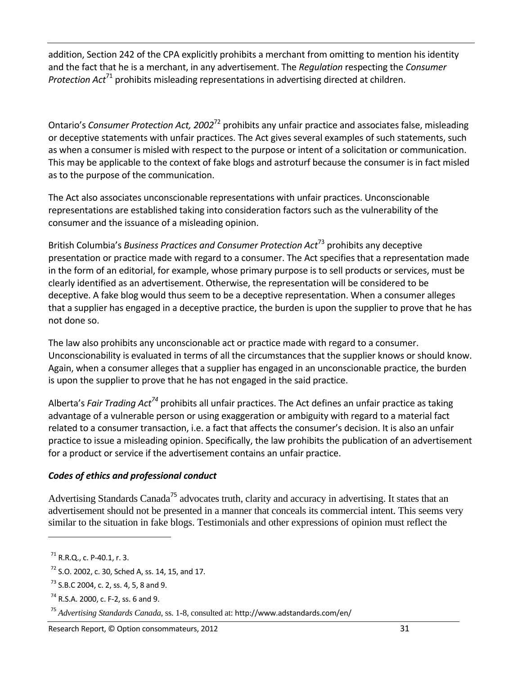addition, Section 242 of the CPA explicitly prohibits a merchant from omitting to mention his identity and the fact that he is a merchant, in any advertisement. The *Regulation* respecting the *Consumer Protection Act*<sup>71</sup> prohibits misleading representations in advertising directed at children.

Ontario's *Consumer Protection Act, 2002*<sup>72</sup> prohibits any unfair practice and associates false, misleading or deceptive statements with unfair practices. The Act gives several examples of such statements, such as when a consumer is misled with respect to the purpose or intent of a solicitation or communication. This may be applicable to the context of fake blogs and astroturf because the consumer is in fact misled as to the purpose of the communication.

The Act also associates unconscionable representations with unfair practices. Unconscionable representations are established taking into consideration factors such as the vulnerability of the consumer and the issuance of a misleading opinion.

British Columbia's *Business Practices and Consumer Protection Act*<sup>73</sup> prohibits any deceptive presentation or practice made with regard to a consumer. The Act specifies that a representation made in the form of an editorial, for example, whose primary purpose is to sell products or services, must be clearly identified as an advertisement. Otherwise, the representation will be considered to be deceptive. A fake blog would thus seem to be a deceptive representation. When a consumer alleges that a supplier has engaged in a deceptive practice, the burden is upon the supplier to prove that he has not done so.

The law also prohibits any unconscionable act or practice made with regard to a consumer. Unconscionability is evaluated in terms of all the circumstances that the supplier knows or should know. Again, when a consumer alleges that a supplier has engaged in an unconscionable practice, the burden is upon the supplier to prove that he has not engaged in the said practice.

Alberta's *Fair Trading Act74* prohibits all unfair practices. The Act defines an unfair practice as taking advantage of a vulnerable person or using exaggeration or ambiguity with regard to a material fact related to a consumer transaction, i.e. a fact that affects the consumer's decision. It is also an unfair practice to issue a misleading opinion. Specifically, the law prohibits the publication of an advertisement for a product or service if the advertisement contains an unfair practice.

### *Codes of ethics and professional conduct*

Advertising Standards Canada<sup>75</sup> advocates truth, clarity and accuracy in advertising. It states that an advertisement should not be presented in a manner that conceals its commercial intent. This seems very similar to the situation in fake blogs. Testimonials and other expressions of opinion must reflect the

 $^{71}$  R.R.Q., c. P-40.1, r. 3.

 $72$  S.O. 2002, c. 30, Sched A, ss. 14, 15, and 17.

<sup>73</sup> S.B.C 2004, c. 2, ss. 4, 5, 8 and 9.

<sup>74</sup> R.S.A. 2000, c. F‐2, ss. 6 and 9.

<sup>75</sup> *Advertising Standards Canada*, ss. 1-8, consulted at: http://www.adstandards.com/en/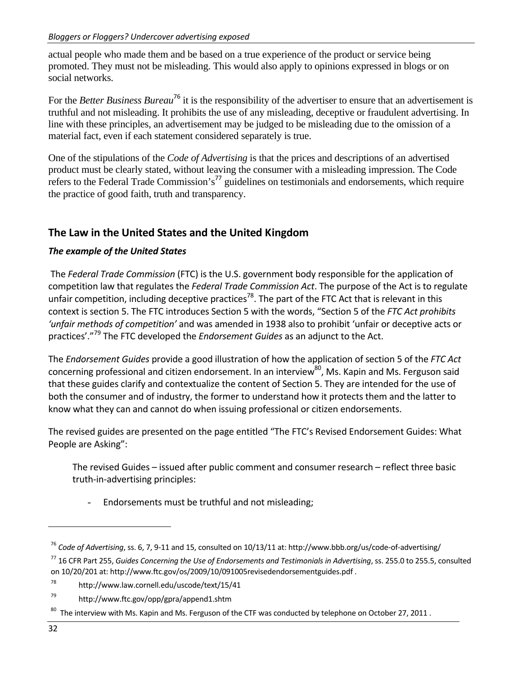actual people who made them and be based on a true experience of the product or service being promoted. They must not be misleading. This would also apply to opinions expressed in blogs or on social networks.

For the *Better Business Bureau*<sup>76</sup> it is the responsibility of the advertiser to ensure that an advertisement is truthful and not misleading. It prohibits the use of any misleading, deceptive or fraudulent advertising. In line with these principles, an advertisement may be judged to be misleading due to the omission of a material fact, even if each statement considered separately is true.

One of the stipulations of the *Code of Advertising* is that the prices and descriptions of an advertised product must be clearly stated, without leaving the consumer with a misleading impression. The Code refers to the Federal Trade Commission's<sup>77</sup> guidelines on testimonials and endorsements, which require the practice of good faith, truth and transparency.

### **The Law in the United States and the United Kingdom**

### *The example of the United States*

The *Federal Trade Commission* (FTC) is the U.S. government body responsible for the application of competition law that regulates the *Federal Trade Commission Act*. The purpose of the Act is to regulate unfair competition, including deceptive practices<sup>78</sup>. The part of the FTC Act that is relevant in this context is section 5. The FTC introduces Section 5 with the words, "Section 5 of the *FTC Act prohibits 'unfair methods of competition'* and was amended in 1938 also to prohibit 'unfair or deceptive acts or practices'."<sup>79</sup> The FTC developed the *Endorsement Guides* as an adjunct to the Act.

The *Endorsement Guides* provide a good illustration of how the application of section 5 of the *FTC Act* concerning professional and citizen endorsement. In an interview<sup>80</sup>, Ms. Kapin and Ms. Ferguson said that these guides clarify and contextualize the content of Section 5. They are intended for the use of both the consumer and of industry, the former to understand how it protects them and the latter to know what they can and cannot do when issuing professional or citizen endorsements.

The revised guides are presented on the page entitled "The FTC's Revised Endorsement Guides: What People are Asking":

The revised Guides – issued after public comment and consumer research – reflect three basic truth‐in‐advertising principles:

Endorsements must be truthful and not misleading;

<sup>76</sup> *Code of Advertising*, ss. 6, 7, 9‐11 and 15, consulted on 10/13/11 at: http://www.bbb.org/us/code‐of‐advertising/

<sup>77</sup> 16 CFR Part 255, *Guides Concerning the Use of Endorsements and Testimonials in Advertising*, ss. 255.0 to 255.5, consulted on 10/20/201 at: http://www.ftc.gov/os/2009/10/091005revisedendorsementguides.pdf .

<sup>78</sup> http://www.law.cornell.edu/uscode/text/15/41

<sup>79</sup> http://www.ftc.gov/opp/gpra/append1.shtm

 $80$  The interview with Ms. Kapin and Ms. Ferguson of the CTF was conducted by telephone on October 27, 2011.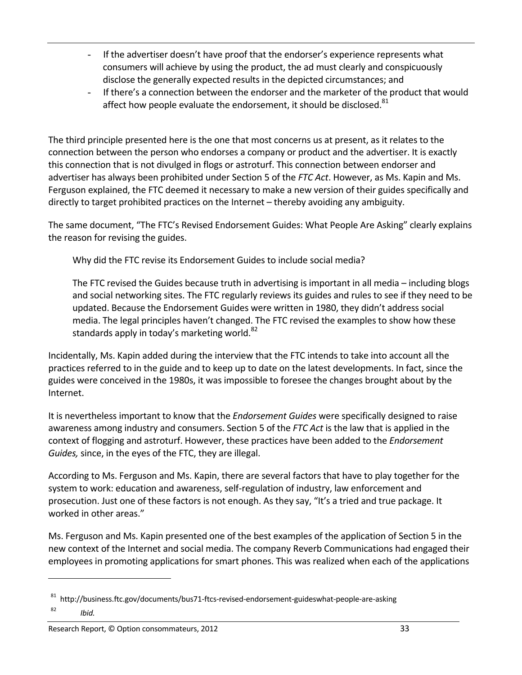- If the advertiser doesn't have proof that the endorser's experience represents what consumers will achieve by using the product, the ad must clearly and conspicuously disclose the generally expected results in the depicted circumstances; and
- If there's a connection between the endorser and the marketer of the product that would affect how people evaluate the endorsement, it should be disclosed.<sup>81</sup>

The third principle presented here is the one that most concerns us at present, as it relates to the connection between the person who endorses a company or product and the advertiser. It is exactly this connection that is not divulged in flogs or astroturf. This connection between endorser and advertiser has always been prohibited under Section 5 of the *FTC Act*. However, as Ms. Kapin and Ms. Ferguson explained, the FTC deemed it necessary to make a new version of their guides specifically and directly to target prohibited practices on the Internet – thereby avoiding any ambiguity.

The same document, "The FTC's Revised Endorsement Guides: What People Are Asking" clearly explains the reason for revising the guides.

Why did the FTC revise its Endorsement Guides to include social media?

The FTC revised the Guides because truth in advertising is important in all media – including blogs and social networking sites. The FTC regularly reviews its guides and rules to see if they need to be updated. Because the Endorsement Guides were written in 1980, they didn't address social media. The legal principles haven't changed. The FTC revised the examples to show how these standards apply in today's marketing world. $82$ 

Incidentally, Ms. Kapin added during the interview that the FTC intends to take into account all the practices referred to in the guide and to keep up to date on the latest developments. In fact, since the guides were conceived in the 1980s, it was impossible to foresee the changes brought about by the Internet.

It is nevertheless important to know that the *Endorsement Guides* were specifically designed to raise awareness among industry and consumers. Section 5 of the *FTC Act* is the law that is applied in the context of flogging and astroturf. However, these practices have been added to the *Endorsement Guides,* since, in the eyes of the FTC, they are illegal.

According to Ms. Ferguson and Ms. Kapin, there are several factors that have to play together for the system to work: education and awareness, self-regulation of industry, law enforcement and prosecution. Just one of these factors is not enough. As they say, "It's a tried and true package. It worked in other areas."

Ms. Ferguson and Ms. Kapin presented one of the best examples of the application of Section 5 in the new context of the Internet and social media. The company Reverb Communications had engaged their employees in promoting applications for smart phones. This was realized when each of the applications

<sup>81</sup> http://business.ftc.gov/documents/bus71-ftcs-revised-endorsement-guideswhat-people-are-asking

<sup>82</sup> *Ibid.*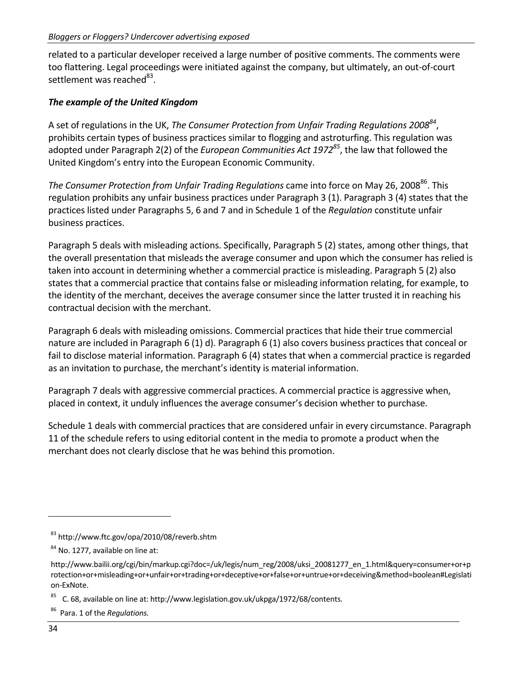related to a particular developer received a large number of positive comments. The comments were too flattering. Legal proceedings were initiated against the company, but ultimately, an out‐of‐court settlement was reached<sup>83</sup>.

#### *The example of the United Kingdom*

A set of regulations in the UK, *The Consumer Protection from Unfair Trading Regulations 200884*, prohibits certain types of business practices similar to flogging and astroturfing. This regulation was adopted under Paragraph 2(2) of the *European Communities Act 197285*, the law that followed the United Kingdom's entry into the European Economic Community.

*The Consumer Protection from Unfair Trading Regulations came into force on May 26, 2008<sup>86</sup>. This* regulation prohibits any unfair business practices under Paragraph 3 (1). Paragraph 3 (4) states that the practices listed under Paragraphs 5, 6 and 7 and in Schedule 1 of the *Regulation* constitute unfair business practices.

Paragraph 5 deals with misleading actions. Specifically, Paragraph 5 (2) states, among other things, that the overall presentation that misleads the average consumer and upon which the consumer has relied is taken into account in determining whether a commercial practice is misleading. Paragraph 5 (2) also states that a commercial practice that contains false or misleading information relating, for example, to the identity of the merchant, deceives the average consumer since the latter trusted it in reaching his contractual decision with the merchant.

Paragraph 6 deals with misleading omissions. Commercial practices that hide their true commercial nature are included in Paragraph 6 (1) d). Paragraph 6 (1) also covers business practices that conceal or fail to disclose material information. Paragraph 6 (4) states that when a commercial practice is regarded as an invitation to purchase, the merchant's identity is material information.

Paragraph 7 deals with aggressive commercial practices. A commercial practice is aggressive when, placed in context, it unduly influences the average consumer's decision whether to purchase.

Schedule 1 deals with commercial practices that are considered unfair in every circumstance. Paragraph 11 of the schedule refers to using editorial content in the media to promote a product when the merchant does not clearly disclose that he was behind this promotion.

<sup>83</sup> http://www.ftc.gov/opa/2010/08/reverb.shtm

<sup>&</sup>lt;sup>84</sup> No. 1277, available on line at:

http://www.bailii.org/cgi/bin/markup.cgi?doc=/uk/legis/num\_reg/2008/uksi\_20081277\_en\_1.html&query=consumer+or+p rotection+or+misleading+or+unfair+or+trading+or+deceptive+or+false+or+untrue+or+deceiving&method=boolean#Legislati on‐ExNote.

<sup>85</sup> C. 68, available on line at: http://www.legislation.gov.uk/ukpga/1972/68/contents.

<sup>86</sup> Para. 1 of the *Regulations.*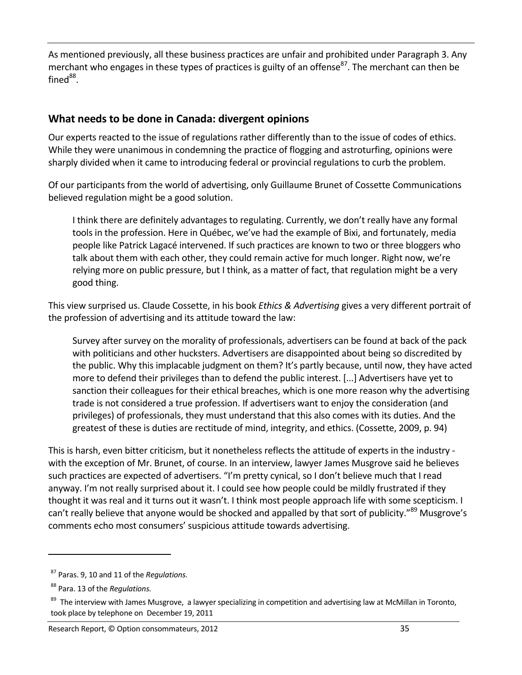As mentioned previously, all these business practices are unfair and prohibited under Paragraph 3. Any merchant who engages in these types of practices is guilty of an offense<sup>87</sup>. The merchant can then be fined $^{88}$ .

### **What needs to be done in Canada: divergent opinions**

Our experts reacted to the issue of regulations rather differently than to the issue of codes of ethics. While they were unanimous in condemning the practice of flogging and astroturfing, opinions were sharply divided when it came to introducing federal or provincial regulations to curb the problem.

Of our participants from the world of advertising, only Guillaume Brunet of Cossette Communications believed regulation might be a good solution.

I think there are definitely advantages to regulating. Currently, we don't really have any formal tools in the profession. Here in Québec, we've had the example of Bixi, and fortunately, media people like Patrick Lagacé intervened. If such practices are known to two or three bloggers who talk about them with each other, they could remain active for much longer. Right now, we're relying more on public pressure, but I think, as a matter of fact, that regulation might be a very good thing.

This view surprised us. Claude Cossette, in his book *Ethics & Advertising* gives a very different portrait of the profession of advertising and its attitude toward the law:

Survey after survey on the morality of professionals, advertisers can be found at back of the pack with politicians and other hucksters. Advertisers are disappointed about being so discredited by the public. Why this implacable judgment on them? It's partly because, until now, they have acted more to defend their privileges than to defend the public interest. [...] Advertisers have yet to sanction their colleagues for their ethical breaches, which is one more reason why the advertising trade is not considered a true profession. If advertisers want to enjoy the consideration (and privileges) of professionals, they must understand that this also comes with its duties. And the greatest of these is duties are rectitude of mind, integrity, and ethics. (Cossette, 2009, p. 94)

This is harsh, even bitter criticism, but it nonetheless reflects the attitude of experts in the industry ‐ with the exception of Mr. Brunet, of course. In an interview, lawyer James Musgrove said he believes such practices are expected of advertisers. "I'm pretty cynical, so I don't believe much that I read anyway. I'm not really surprised about it. I could see how people could be mildly frustrated if they thought it was real and it turns out it wasn't. I think most people approach life with some scepticism. I can't really believe that anyone would be shocked and appalled by that sort of publicity."<sup>89</sup> Musgrove's comments echo most consumers' suspicious attitude towards advertising.

<sup>87</sup> Paras. 9, 10 and 11 of the *Regulations.*

<sup>88</sup> Para. 13 of the *Regulations.*

<sup>&</sup>lt;sup>89</sup> The interview with James Musgrove, a lawyer specializing in competition and advertising law at McMillan in Toronto, took place by telephone on December 19, 2011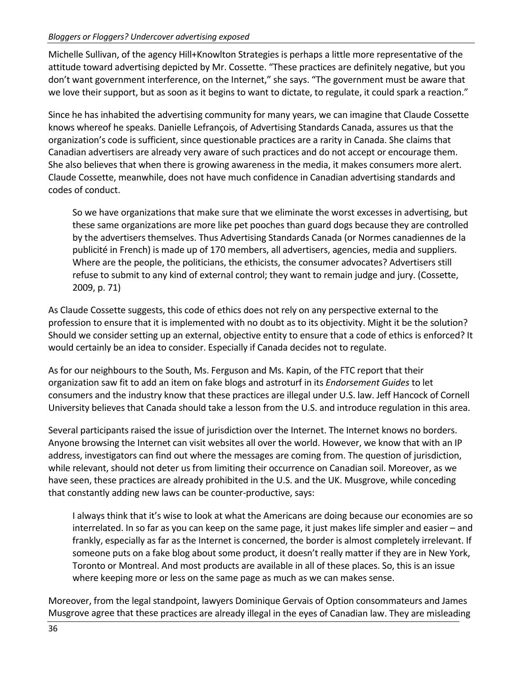Michelle Sullivan, of the agency Hill+Knowlton Strategies is perhaps a little more representative of the attitude toward advertising depicted by Mr. Cossette. "These practices are definitely negative, but you don't want government interference, on the Internet," she says. "The government must be aware that we love their support, but as soon as it begins to want to dictate, to regulate, it could spark a reaction."

Since he has inhabited the advertising community for many years, we can imagine that Claude Cossette knows whereof he speaks. Danielle Lefrançois, of Advertising Standards Canada, assures us that the organization's code is sufficient, since questionable practices are a rarity in Canada. She claims that Canadian advertisers are already very aware of such practices and do not accept or encourage them. She also believes that when there is growing awareness in the media, it makes consumers more alert. Claude Cossette, meanwhile, does not have much confidence in Canadian advertising standards and codes of conduct.

So we have organizations that make sure that we eliminate the worst excesses in advertising, but these same organizations are more like pet pooches than guard dogs because they are controlled by the advertisers themselves. Thus Advertising Standards Canada (or Normes canadiennes de la publicité in French) is made up of 170 members, all advertisers, agencies, media and suppliers. Where are the people, the politicians, the ethicists, the consumer advocates? Advertisers still refuse to submit to any kind of external control; they want to remain judge and jury. (Cossette, 2009, p. 71)

As Claude Cossette suggests, this code of ethics does not rely on any perspective external to the profession to ensure that it is implemented with no doubt as to its objectivity. Might it be the solution? Should we consider setting up an external, objective entity to ensure that a code of ethics is enforced? It would certainly be an idea to consider. Especially if Canada decides not to regulate.

As for our neighbours to the South, Ms. Ferguson and Ms. Kapin, of the FTC report that their organization saw fit to add an item on fake blogs and astroturf in its *Endorsement Guides* to let consumers and the industry know that these practices are illegal under U.S. law. Jeff Hancock of Cornell University believes that Canada should take a lesson from the U.S. and introduce regulation in this area.

Several participants raised the issue of jurisdiction over the Internet. The Internet knows no borders. Anyone browsing the Internet can visit websites all over the world. However, we know that with an IP address, investigators can find out where the messages are coming from. The question of jurisdiction, while relevant, should not deter us from limiting their occurrence on Canadian soil. Moreover, as we have seen, these practices are already prohibited in the U.S. and the UK. Musgrove, while conceding that constantly adding new laws can be counter‐productive, says:

I always think that it's wise to look at what the Americans are doing because our economies are so interrelated. In so far as you can keep on the same page, it just makes life simpler and easier – and frankly, especially as far as the Internet is concerned, the border is almost completely irrelevant. If someone puts on a fake blog about some product, it doesn't really matter if they are in New York, Toronto or Montreal. And most products are available in all of these places. So, this is an issue where keeping more or less on the same page as much as we can makes sense.

Moreover, from the legal standpoint, lawyers Dominique Gervais of Option consommateurs and James Musgrove agree that these practices are already illegal in the eyes of Canadian law. They are misleading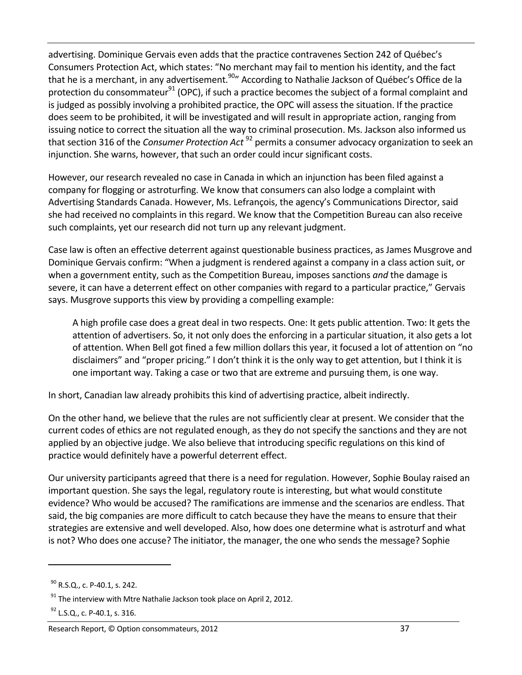advertising. Dominique Gervais even adds that the practice contravenes Section 242 of Québec's Consumers Protection Act, which states: "No merchant may fail to mention his identity, and the fact that he is a merchant, in any advertisement.90" According to Nathalie Jackson of Québec's Office de la protection du consommateur<sup>91</sup> (OPC), if such a practice becomes the subject of a formal complaint and is judged as possibly involving a prohibited practice, the OPC will assess the situation. If the practice does seem to be prohibited, it will be investigated and will result in appropriate action, ranging from issuing notice to correct the situation all the way to criminal prosecution. Ms. Jackson also informed us that section 316 of the *Consumer Protection Act* <sup>92</sup> permits a consumer advocacy organization to seek an injunction. She warns, however, that such an order could incur significant costs.

However, our research revealed no case in Canada in which an injunction has been filed against a company for flogging or astroturfing. We know that consumers can also lodge a complaint with Advertising Standards Canada. However, Ms. Lefrançois, the agency's Communications Director, said she had received no complaints in this regard. We know that the Competition Bureau can also receive such complaints, yet our research did not turn up any relevant judgment.

Case law is often an effective deterrent against questionable business practices, as James Musgrove and Dominique Gervais confirm: "When a judgment is rendered against a company in a class action suit, or when a government entity, such as the Competition Bureau, imposes sanctions *and* the damage is severe, it can have a deterrent effect on other companies with regard to a particular practice," Gervais says. Musgrove supports this view by providing a compelling example:

A high profile case does a great deal in two respects. One: It gets public attention. Two: It gets the attention of advertisers. So, it not only does the enforcing in a particular situation, it also gets a lot of attention. When Bell got fined a few million dollars this year, it focused a lot of attention on "no disclaimers" and "proper pricing." I don't think it is the only way to get attention, but I think it is one important way. Taking a case or two that are extreme and pursuing them, is one way.

In short, Canadian law already prohibits this kind of advertising practice, albeit indirectly.

On the other hand, we believe that the rules are not sufficiently clear at present. We consider that the current codes of ethics are not regulated enough, as they do not specify the sanctions and they are not applied by an objective judge. We also believe that introducing specific regulations on this kind of practice would definitely have a powerful deterrent effect.

Our university participants agreed that there is a need for regulation. However, Sophie Boulay raised an important question. She says the legal, regulatory route is interesting, but what would constitute evidence? Who would be accused? The ramifications are immense and the scenarios are endless. That said, the big companies are more difficult to catch because they have the means to ensure that their strategies are extensive and well developed. Also, how does one determine what is astroturf and what is not? Who does one accuse? The initiator, the manager, the one who sends the message? Sophie

<sup>90</sup> R.S.Q., c. P‐40.1, s. 242.

 $91$  The interview with Mtre Nathalie Jackson took place on April 2, 2012.

<sup>92</sup> L.S.Q., c. P-40.1, s. 316.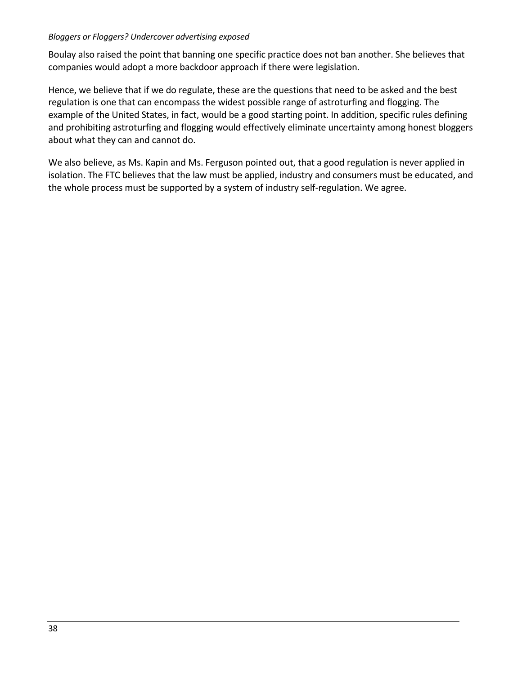Boulay also raised the point that banning one specific practice does not ban another. She believes that companies would adopt a more backdoor approach if there were legislation.

Hence, we believe that if we do regulate, these are the questions that need to be asked and the best regulation is one that can encompass the widest possible range of astroturfing and flogging. The example of the United States, in fact, would be a good starting point. In addition, specific rules defining and prohibiting astroturfing and flogging would effectively eliminate uncertainty among honest bloggers about what they can and cannot do.

We also believe, as Ms. Kapin and Ms. Ferguson pointed out, that a good regulation is never applied in isolation. The FTC believes that the law must be applied, industry and consumers must be educated, and the whole process must be supported by a system of industry self‐regulation. We agree.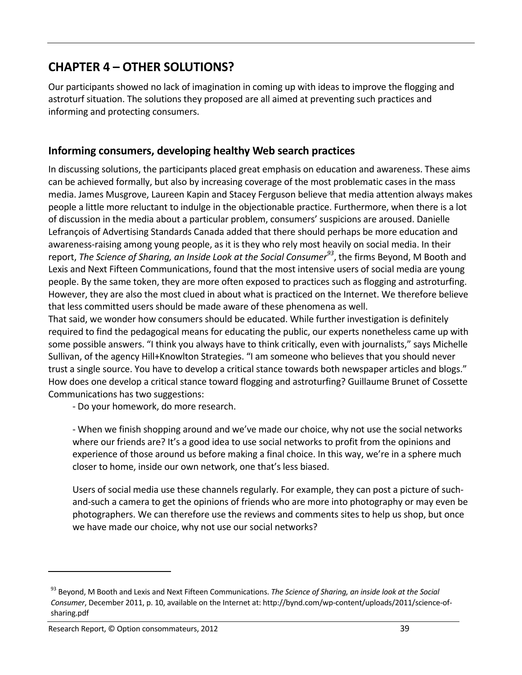# **CHAPTER 4 – OTHER SOLUTIONS?**

Our participants showed no lack of imagination in coming up with ideas to improve the flogging and astroturf situation. The solutions they proposed are all aimed at preventing such practices and informing and protecting consumers.

### **Informing consumers, developing healthy Web search practices**

In discussing solutions, the participants placed great emphasis on education and awareness. These aims can be achieved formally, but also by increasing coverage of the most problematic cases in the mass media. James Musgrove, Laureen Kapin and Stacey Ferguson believe that media attention always makes people a little more reluctant to indulge in the objectionable practice. Furthermore, when there is a lot of discussion in the media about a particular problem, consumers' suspicions are aroused. Danielle Lefrançois of Advertising Standards Canada added that there should perhaps be more education and awareness-raising among young people, as it is they who rely most heavily on social media. In their report, *The Science of Sharing, an Inside Look at the Social Consumer93*, the firms Beyond, M Booth and Lexis and Next Fifteen Communications, found that the most intensive users of social media are young people. By the same token, they are more often exposed to practices such as flogging and astroturfing. However, they are also the most clued in about what is practiced on the Internet. We therefore believe that less committed users should be made aware of these phenomena as well.

That said, we wonder how consumers should be educated. While further investigation is definitely required to find the pedagogical means for educating the public, our experts nonetheless came up with some possible answers. "I think you always have to think critically, even with journalists," says Michelle Sullivan, of the agency Hill+Knowlton Strategies. "I am someone who believes that you should never trust a single source. You have to develop a critical stance towards both newspaper articles and blogs." How does one develop a critical stance toward flogging and astroturfing? Guillaume Brunet of Cossette Communications has two suggestions:

‐ Do your homework, do more research.

‐ When we finish shopping around and we've made our choice, why not use the social networks where our friends are? It's a good idea to use social networks to profit from the opinions and experience of those around us before making a final choice. In this way, we're in a sphere much closer to home, inside our own network, one that's less biased.

Users of social media use these channels regularly. For example, they can post a picture of such‐ and‐such a camera to get the opinions of friends who are more into photography or may even be photographers. We can therefore use the reviews and comments sites to help us shop, but once we have made our choice, why not use our social networks?

<sup>93</sup> Beyond, M Booth and Lexis and Next Fifteen Communications. *The Science of Sharing, an inside look at the Social Consumer*, December 2011, p. 10, available on the Internet at: http://bynd.com/wp‐content/uploads/2011/science‐of‐ sharing.pdf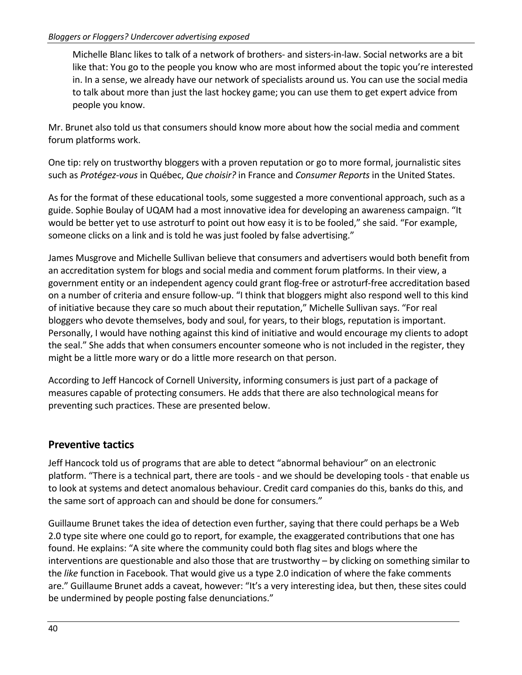Michelle Blanc likes to talk of a network of brothers‐ and sisters‐in‐law. Social networks are a bit like that: You go to the people you know who are most informed about the topic you're interested in. In a sense, we already have our network of specialists around us. You can use the social media to talk about more than just the last hockey game; you can use them to get expert advice from people you know.

Mr. Brunet also told us that consumers should know more about how the social media and comment forum platforms work.

One tip: rely on trustworthy bloggers with a proven reputation or go to more formal, journalistic sites such as *Protégez‐vous* in Québec, *Que choisir?* in France and *Consumer Reports* in the United States.

As for the format of these educational tools, some suggested a more conventional approach, such as a guide. Sophie Boulay of UQAM had a most innovative idea for developing an awareness campaign. "It would be better yet to use astroturf to point out how easy it is to be fooled," she said. "For example, someone clicks on a link and is told he was just fooled by false advertising."

James Musgrove and Michelle Sullivan believe that consumers and advertisers would both benefit from an accreditation system for blogs and social media and comment forum platforms. In their view, a government entity or an independent agency could grant flog‐free or astroturf‐free accreditation based on a number of criteria and ensure follow‐up. "I think that bloggers might also respond well to this kind of initiative because they care so much about their reputation," Michelle Sullivan says. "For real bloggers who devote themselves, body and soul, for years, to their blogs, reputation is important. Personally, I would have nothing against this kind of initiative and would encourage my clients to adopt the seal." She adds that when consumers encounter someone who is not included in the register, they might be a little more wary or do a little more research on that person.

According to Jeff Hancock of Cornell University, informing consumers is just part of a package of measures capable of protecting consumers. He adds that there are also technological means for preventing such practices. These are presented below.

### **Preventive tactics**

Jeff Hancock told us of programs that are able to detect "abnormal behaviour" on an electronic platform. "There is a technical part, there are tools ‐ and we should be developing tools ‐ that enable us to look at systems and detect anomalous behaviour. Credit card companies do this, banks do this, and the same sort of approach can and should be done for consumers."

Guillaume Brunet takes the idea of detection even further, saying that there could perhaps be a Web 2.0 type site where one could go to report, for example, the exaggerated contributions that one has found. He explains: "A site where the community could both flag sites and blogs where the interventions are questionable and also those that are trustworthy – by clicking on something similar to the *like* function in Facebook. That would give us a type 2.0 indication of where the fake comments are." Guillaume Brunet adds a caveat, however: "It's a very interesting idea, but then, these sites could be undermined by people posting false denunciations."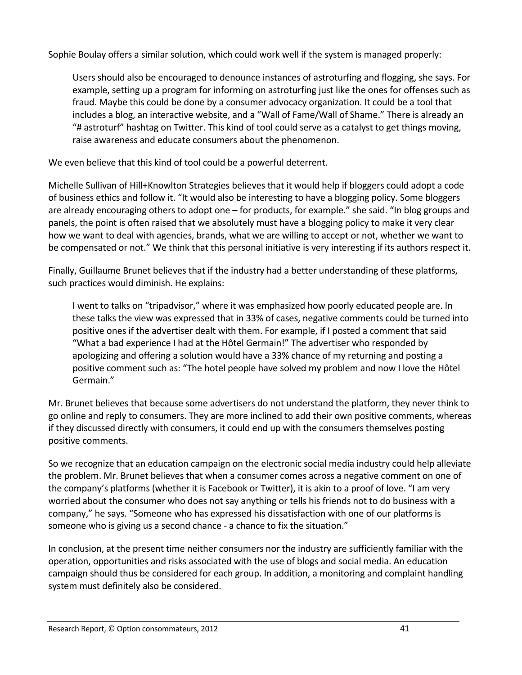Sophie Boulay offers a similar solution, which could work well if the system is managed properly:

Users should also be encouraged to denounce instances of astroturfing and flogging, she says. For example, setting up a program for informing on astroturfing just like the ones for offenses such as fraud. Maybe this could be done by a consumer advocacy organization. It could be a tool that includes a blog, an interactive website, and a "Wall of Fame/Wall of Shame." There is already an "# astroturf" hashtag on Twitter. This kind of tool could serve as a catalyst to get things moving, raise awareness and educate consumers about the phenomenon.

We even believe that this kind of tool could be a powerful deterrent.

Michelle Sullivan of Hill+Knowlton Strategies believes that it would help if bloggers could adopt a code of business ethics and follow it. "It would also be interesting to have a blogging policy. Some bloggers are already encouraging others to adopt one – for products, for example." she said. "In blog groups and panels, the point is often raised that we absolutely must have a blogging policy to make it very clear how we want to deal with agencies, brands, what we are willing to accept or not, whether we want to be compensated or not." We think that this personal initiative is very interesting if its authors respect it.

Finally, Guillaume Brunet believes that if the industry had a better understanding of these platforms, such practices would diminish. He explains:

I went to talks on "tripadvisor," where it was emphasized how poorly educated people are. In these talks the view was expressed that in 33% of cases, negative comments could be turned into positive ones if the advertiser dealt with them. For example, if I posted a comment that said "What a bad experience I had at the Hôtel Germain!" The advertiser who responded by apologizing and offering a solution would have a 33% chance of my returning and posting a positive comment such as: "The hotel people have solved my problem and now I love the Hôtel Germain."

Mr. Brunet believes that because some advertisers do not understand the platform, they never think to go online and reply to consumers. They are more inclined to add their own positive comments, whereas if they discussed directly with consumers, it could end up with the consumers themselves posting positive comments.

So we recognize that an education campaign on the electronic social media industry could help alleviate the problem. Mr. Brunet believes that when a consumer comes across a negative comment on one of the company's platforms (whether it is Facebook or Twitter), it is akin to a proof of love. "I am very worried about the consumer who does not say anything or tells his friends not to do business with a company," he says. "Someone who has expressed his dissatisfaction with one of our platforms is someone who is giving us a second chance - a chance to fix the situation."

In conclusion, at the present time neither consumers nor the industry are sufficiently familiar with the operation, opportunities and risks associated with the use of blogs and social media. An education campaign should thus be considered for each group. In addition, a monitoring and complaint handling system must definitely also be considered.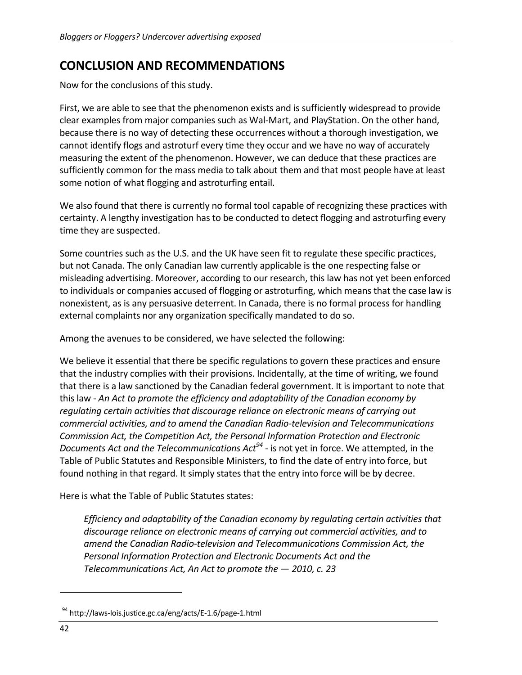## **CONCLUSION AND RECOMMENDATIONS**

Now for the conclusions of this study.

First, we are able to see that the phenomenon exists and is sufficiently widespread to provide clear examples from major companies such as Wal‐Mart, and PlayStation. On the other hand, because there is no way of detecting these occurrences without a thorough investigation, we cannot identify flogs and astroturf every time they occur and we have no way of accurately measuring the extent of the phenomenon. However, we can deduce that these practices are sufficiently common for the mass media to talk about them and that most people have at least some notion of what flogging and astroturfing entail.

We also found that there is currently no formal tool capable of recognizing these practices with certainty. A lengthy investigation has to be conducted to detect flogging and astroturfing every time they are suspected.

Some countries such as the U.S. and the UK have seen fit to regulate these specific practices, but not Canada. The only Canadian law currently applicable is the one respecting false or misleading advertising. Moreover, according to our research, this law has not yet been enforced to individuals or companies accused of flogging or astroturfing, which means that the case law is nonexistent, as is any persuasive deterrent. In Canada, there is no formal process for handling external complaints nor any organization specifically mandated to do so.

Among the avenues to be considered, we have selected the following:

We believe it essential that there be specific regulations to govern these practices and ensure that the industry complies with their provisions. Incidentally, at the time of writing, we found that there is a law sanctioned by the Canadian federal government. It is important to note that this law ‐ *An Act to promote the efficiency and adaptability of the Canadian economy by regulating certain activities that discourage reliance on electronic means of carrying out commercial activities, and to amend the Canadian Radio‐television and Telecommunications Commission Act, the Competition Act, the Personal Information Protection and Electronic Documents Act and the Telecommunications Act94* ‐ is not yet in force. We attempted, in the Table of Public Statutes and Responsible Ministers, to find the date of entry into force, but found nothing in that regard. It simply states that the entry into force will be by decree.

Here is what the Table of Public Statutes states:

*Efficiency and adaptability of the Canadian economy by regulating certain activities that discourage reliance on electronic means of carrying out commercial activities, and to amend the Canadian Radio‐television and Telecommunications Commission Act, the Personal Information Protection and Electronic Documents Act and the Telecommunications Act, An Act to promote the — 2010, c. 23*

<sup>94</sup> http://laws‐lois.justice.gc.ca/eng/acts/E‐1.6/page‐1.html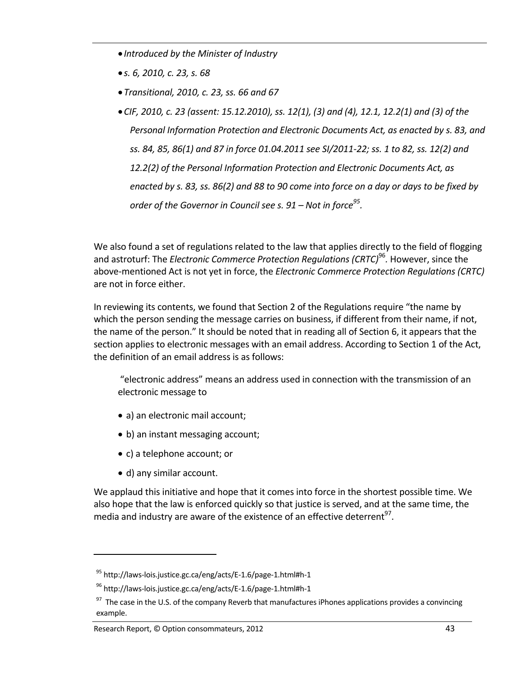- *Introduced by the Minister of Industry*
- *s. 6, 2010, c. 23, s. 68*
- *Transitional, 2010, c. 23, ss. 66 and 67*
- *CIF, 2010, c. 23 (assent: 15.12.2010), ss. 12(1), (3) and (4), 12.1, 12.2(1) and (3) of the Personal Information Protection and Electronic Documents Act, as enacted by s. 83, and* ss. 84, 85, 86(1) and 87 in force 01.04.2011 see SI/2011-22; ss. 1 to 82, ss. 12(2) and *12.2(2) of the Personal Information Protection and Electronic Documents Act, as* enacted by s. 83, ss. 86(2) and 88 to 90 come into force on a day or days to be fixed by *order of the Governor in Council see s. 91 – Not in force95.*

We also found a set of regulations related to the law that applies directly to the field of flogging and astroturf: The *Electronic Commerce Protection Regulations (CRTC)*<sup>96</sup>*.* However, since the above‐mentioned Act is not yet in force, the *Electronic Commerce Protection Regulations (CRTC)* are not in force either.

In reviewing its contents, we found that Section 2 of the Regulations require "the name by which the person sending the message carries on business, if different from their name, if not, the name of the person." It should be noted that in reading all of Section 6, it appears that the section applies to electronic messages with an email address. According to Section 1 of the Act, the definition of an email address is as follows:

"electronic address" means an address used in connection with the transmission of an electronic message to

- a) an electronic mail account;
- b) an instant messaging account;
- c) a telephone account; or
- d) any similar account.

We applaud this initiative and hope that it comes into force in the shortest possible time. We also hope that the law is enforced quickly so that justice is served, and at the same time, the media and industry are aware of the existence of an effective deterrent<sup>97</sup>.

<sup>&</sup>lt;sup>95</sup> http://laws-lois.justice.gc.ca/eng/acts/E-1.6/page-1.html#h-1

<sup>96</sup> http://laws‐lois.justice.gc.ca/eng/acts/E‐1.6/page‐1.html#h‐1

 $97$  The case in the U.S. of the company Reverb that manufactures iPhones applications provides a convincing example.

Research Report, © Option consommateurs, 2012 43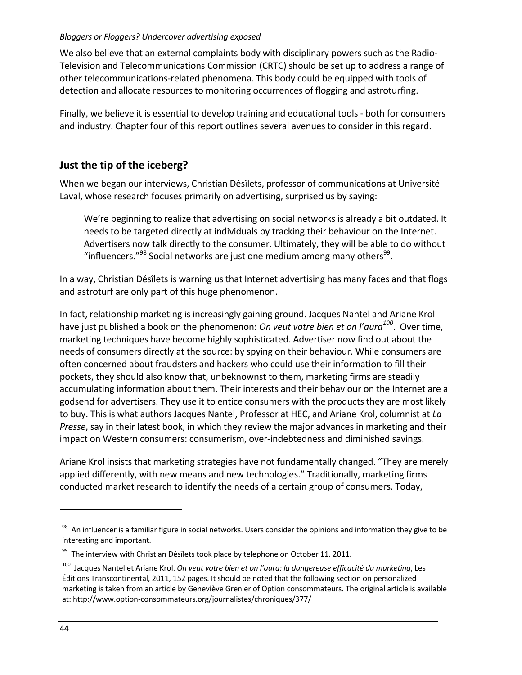We also believe that an external complaints body with disciplinary powers such as the Radio-Television and Telecommunications Commission (CRTC) should be set up to address a range of other telecommunications‐related phenomena. This body could be equipped with tools of detection and allocate resources to monitoring occurrences of flogging and astroturfing.

Finally, we believe it is essential to develop training and educational tools ‐ both for consumers and industry. Chapter four of this report outlines several avenues to consider in this regard.

## **Just the tip of the iceberg?**

When we began our interviews, Christian Désîlets, professor of communications at Université Laval, whose research focuses primarily on advertising, surprised us by saying:

We're beginning to realize that advertising on social networks is already a bit outdated. It needs to be targeted directly at individuals by tracking their behaviour on the Internet. Advertisers now talk directly to the consumer. Ultimately, they will be able to do without "influencers." $98$  Social networks are just one medium among many others $99$ .

In a way, Christian Désîlets is warning us that Internet advertising has many faces and that flogs and astroturf are only part of this huge phenomenon.

In fact, relationship marketing is increasingly gaining ground. Jacques Nantel and Ariane Krol have just published a book on the phenomenon: *On veut votre bien et on l'aura100*. Over time, marketing techniques have become highly sophisticated. Advertiser now find out about the needs of consumers directly at the source: by spying on their behaviour. While consumers are often concerned about fraudsters and hackers who could use their information to fill their pockets, they should also know that, unbeknownst to them, marketing firms are steadily accumulating information about them. Their interests and their behaviour on the Internet are a godsend for advertisers. They use it to entice consumers with the products they are most likely to buy. This is what authors Jacques Nantel, Professor at HEC, and Ariane Krol, columnist at *La Presse*, say in their latest book, in which they review the major advances in marketing and their impact on Western consumers: consumerism, over-indebtedness and diminished savings.

Ariane Krol insists that marketing strategies have not fundamentally changed. "They are merely applied differently, with new means and new technologies." Traditionally, marketing firms conducted market research to identify the needs of a certain group of consumers. Today,

<sup>&</sup>lt;sup>98</sup> An influencer is a familiar figure in social networks. Users consider the opinions and information they give to be interesting and important.

 $99$  The interview with Christian Désîlets took place by telephone on October 11. 2011.

<sup>100</sup> Jacques Nantel et Ariane Krol. *On veut votre bien et on l'aura: la dangereuse efficacité du marketing*, Les Éditions Transcontinental, 2011, 152 pages. It should be noted that the following section on personalized marketing is taken from an article by Geneviève Grenier of Option consommateurs. The original article is available at: http://www.option‐consommateurs.org/journalistes/chroniques/377/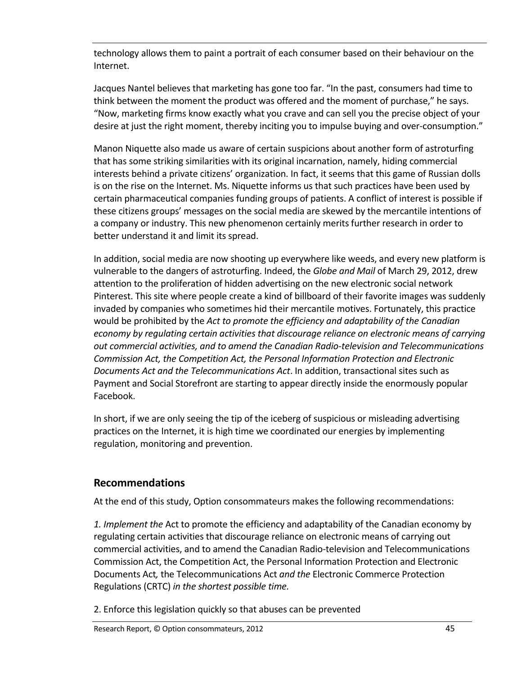technology allows them to paint a portrait of each consumer based on their behaviour on the Internet.

Jacques Nantel believes that marketing has gone too far. "In the past, consumers had time to think between the moment the product was offered and the moment of purchase," he says. "Now, marketing firms know exactly what you crave and can sell you the precise object of your desire at just the right moment, thereby inciting you to impulse buying and over-consumption."

Manon Niquette also made us aware of certain suspicions about another form of astroturfing that has some striking similarities with its original incarnation, namely, hiding commercial interests behind a private citizens' organization. In fact, it seems that this game of Russian dolls is on the rise on the Internet. Ms. Niquette informs us that such practices have been used by certain pharmaceutical companies funding groups of patients. A conflict of interest is possible if these citizens groups' messages on the social media are skewed by the mercantile intentions of a company or industry. This new phenomenon certainly merits further research in order to better understand it and limit its spread.

In addition, social media are now shooting up everywhere like weeds, and every new platform is vulnerable to the dangers of astroturfing. Indeed, the *Globe and Mail* of March 29, 2012, drew attention to the proliferation of hidden advertising on the new electronic social network Pinterest. This site where people create a kind of billboard of their favorite images was suddenly invaded by companies who sometimes hid their mercantile motives. Fortunately, this practice would be prohibited by the *Act to promote the efficiency and adaptability of the Canadian economy by regulating certain activities that discourage reliance on electronic means of carrying out commercial activities, and to amend the Canadian Radio‐television and Telecommunications Commission Act, the Competition Act, the Personal Information Protection and Electronic Documents Act and the Telecommunications Act*. In addition, transactional sites such as Payment and Social Storefront are starting to appear directly inside the enormously popular Facebook.

In short, if we are only seeing the tip of the iceberg of suspicious or misleading advertising practices on the Internet, it is high time we coordinated our energies by implementing regulation, monitoring and prevention.

### **Recommendations**

At the end of this study, Option consommateurs makes the following recommendations:

*1. Implement the* Act to promote the efficiency and adaptability of the Canadian economy by regulating certain activities that discourage reliance on electronic means of carrying out commercial activities, and to amend the Canadian Radio‐television and Telecommunications Commission Act, the Competition Act, the Personal Information Protection and Electronic Documents Act*,* the Telecommunications Act *and the* Electronic Commerce Protection Regulations (CRTC) *in the shortest possible time.*

2. Enforce this legislation quickly so that abuses can be prevented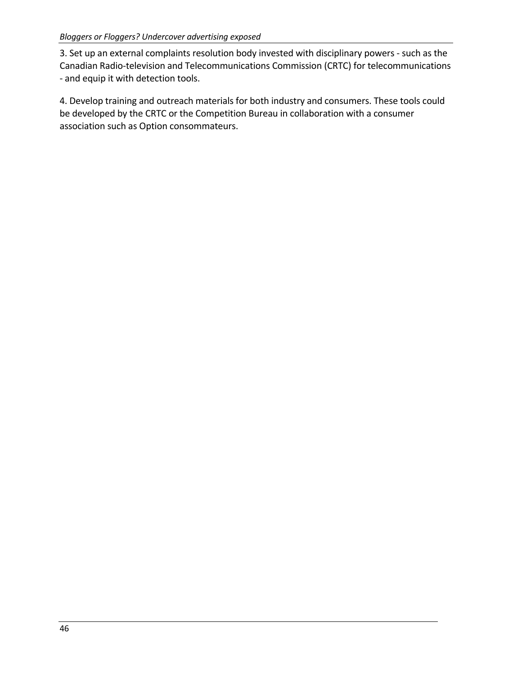3. Set up an external complaints resolution body invested with disciplinary powers ‐ such as the Canadian Radio‐television and Telecommunications Commission (CRTC) for telecommunications ‐ and equip it with detection tools.

4. Develop training and outreach materials for both industry and consumers. These tools could be developed by the CRTC or the Competition Bureau in collaboration with a consumer association such as Option consommateurs.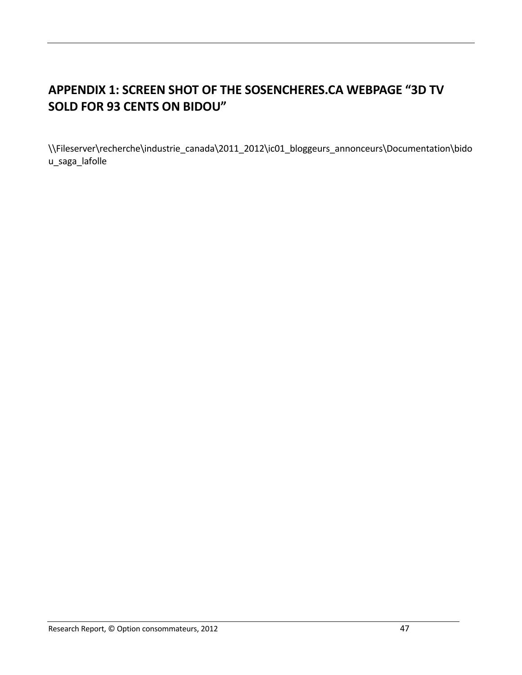# **APPENDIX 1: SCREEN SHOT OF THE SOSENCHERES.CA WEBPAGE "3D TV SOLD FOR 93 CENTS ON BIDOU"**

\\Fileserver\recherche\industrie\_canada\2011\_2012\ic01\_bloggeurs\_annonceurs\Documentation\bido u\_saga\_lafolle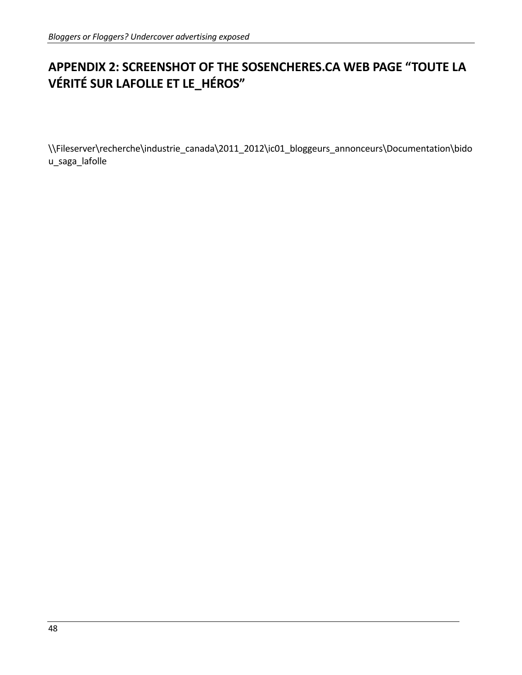# **APPENDIX 2: SCREENSHOT OF THE SOSENCHERES.CA WEB PAGE "TOUTE LA VÉRITÉ SUR LAFOLLE ET LE\_HÉROS"**

\\Fileserver\recherche\industrie\_canada\2011\_2012\ic01\_bloggeurs\_annonceurs\Documentation\bido u\_saga\_lafolle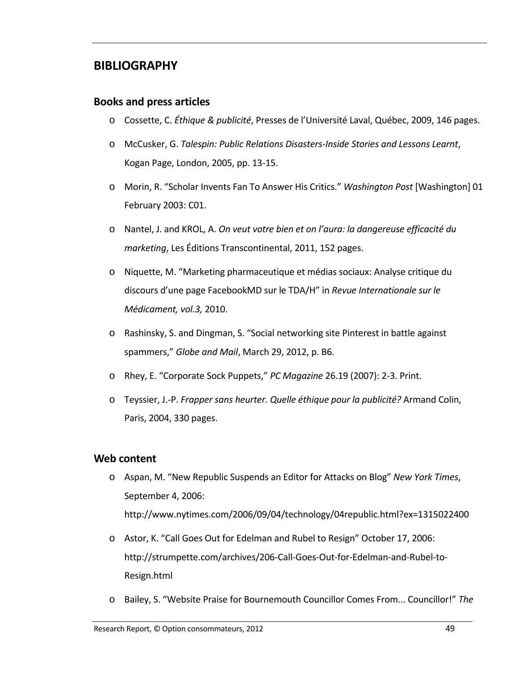## **BIBLIOGRAPHY**

### **Books and press articles**

- o Cossette, C. *Éthique & publicité*, Presses de l'Université Laval, Québec, 2009, 146 pages.
- o McCusker, G. *Talespin: Public Relations Disasters‐Inside Stories and Lessons Learnt*, Kogan Page, London, 2005, pp. 13‐15.
- o Morin, R. "Scholar Invents Fan To Answer His Critics." *Washington Post* [Washington] 01 February 2003: C01.
- o Nantel, J. and KROL, A. *On veut votre bien et on l'aura: la dangereuse efficacité du marketing*, Les Éditions Transcontinental, 2011, 152 pages.
- o Niquette, M. "Marketing pharmaceutique et médias sociaux: Analyse critique du discours d'une page FacebookMD sur le TDA/H" in *Revue Internationale sur le Médicament, vol.3,* 2010.
- o Rashinsky, S. and Dingman, S. "Social networking site Pinterest in battle against spammers," *Globe and Mail*, March 29, 2012, p. B6.
- o Rhey, E. "Corporate Sock Puppets," *PC Magazine* 26.19 (2007): 2‐3. Print.
- o Teyssier, J.‐P. *Frapper sans heurter. Quelle éthique pour la publicité?* Armand Colin, Paris, 2004, 330 pages.

#### **Web content**

- o Aspan, M. "New Republic Suspends an Editor for Attacks on Blog" *New York Times*, September 4, 2006: http://www.nytimes.com/2006/09/04/technology/04republic.html?ex=1315022400
- o Astor, K. "Call Goes Out for Edelman and Rubel to Resign" October 17, 2006: http://strumpette.com/archives/206‐Call‐Goes‐Out‐for‐Edelman‐and‐Rubel‐to‐ Resign.html
- o Bailey, S. "Website Praise for Bournemouth Councillor Comes From... Councillor!" *The*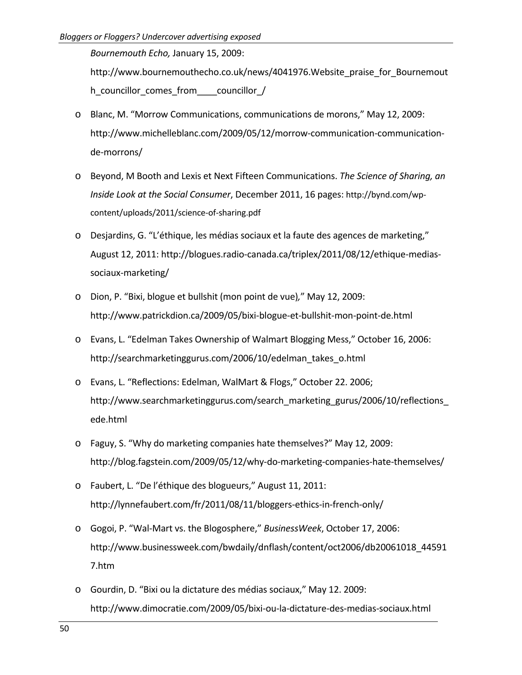*Bournemouth Echo,* January 15, 2009: http://www.bournemouthecho.co.uk/news/4041976.Website\_praise\_for\_Bournemout h\_councillor\_comes\_from \_\_\_\_\_councillor /

- o Blanc, M. "Morrow Communications, communications de morons," May 12, 2009: http://www.michelleblanc.com/2009/05/12/morrow‐communication‐communication‐ de‐morrons/
- o Beyond, M Booth and Lexis et Next Fifteen Communications. *The Science of Sharing, an Inside Look at the Social Consumer*, December 2011, 16 pages: http://bynd.com/wp‐ content/uploads/2011/science‐of‐sharing.pdf
- o Desjardins, G. "L'éthique, les médias sociaux et la faute des agences de marketing," August 12, 2011: http://blogues.radio‐canada.ca/triplex/2011/08/12/ethique‐medias‐ sociaux‐marketing/
- o Dion, P. "Bixi, blogue et bullshit (mon point de vue)*,*" May 12, 2009: http://www.patrickdion.ca/2009/05/bixi‐blogue‐et‐bullshit‐mon‐point‐de.html
- o Evans, L. "Edelman Takes Ownership of Walmart Blogging Mess," October 16, 2006: http://searchmarketinggurus.com/2006/10/edelman\_takes\_o.html
- o Evans, L. "Reflections: Edelman, WalMart & Flogs," October 22. 2006; http://www.searchmarketinggurus.com/search\_marketing\_gurus/2006/10/reflections ede.html
- o Faguy, S. "Why do marketing companies hate themselves?" May 12, 2009: http://blog.fagstein.com/2009/05/12/why‐do‐marketing‐companies‐hate‐themselves/
- o Faubert, L. "De l'éthique des blogueurs," August 11, 2011: http://lynnefaubert.com/fr/2011/08/11/bloggers-ethics-in-french-only/
- o Gogoi, P. "Wal‐Mart vs. the Blogosphere," *BusinessWeek*, October 17, 2006: http://www.businessweek.com/bwdaily/dnflash/content/oct2006/db20061018\_44591 7.htm
- o Gourdin, D. "Bixi ou la dictature des médias sociaux," May 12. 2009: http://www.dimocratie.com/2009/05/bixi‐ou‐la‐dictature‐des‐medias‐sociaux.html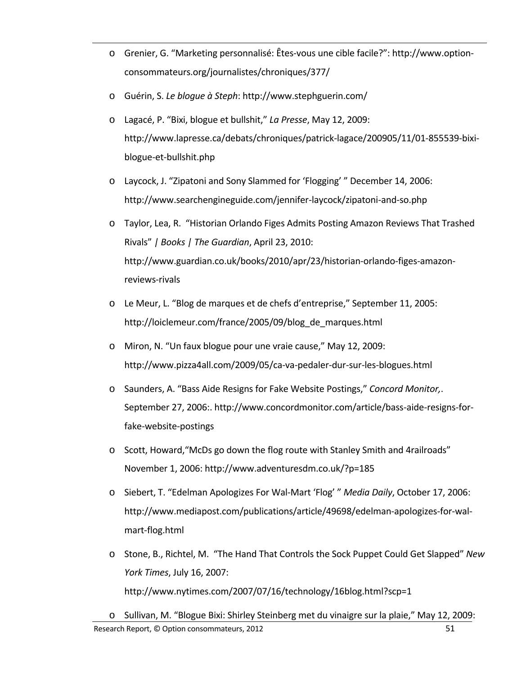- o Grenier, G. "Marketing personnalisé: Êtes‐vous une cible facile?": http://www.option‐ consommateurs.org/journalistes/chroniques/377/
- o Guérin, S. *Le blogue à Steph*: http://www.stephguerin.com/
- o Lagacé, P. "Bixi, blogue et bullshit," *La Presse*, May 12, 2009: http://www.lapresse.ca/debats/chroniques/patrick‐lagace/200905/11/01‐855539‐bixi‐ blogue‐et‐bullshit.php
- o Laycock, J. "Zipatoni and Sony Slammed for 'Flogging' " December 14, 2006: http://www.searchengineguide.com/jennifer‐laycock/zipatoni‐and‐so.php
- o Taylor, Lea, R. "Historian Orlando Figes Admits Posting Amazon Reviews That Trashed Rivals" *| Books | The Guardian*, April 23, 2010: http://www.guardian.co.uk/books/2010/apr/23/historian-orlando-figes-amazonreviews‐rivals
- o Le Meur, L. "Blog de marques et de chefs d'entreprise," September 11, 2005: http://loiclemeur.com/france/2005/09/blog\_de\_marques.html
- o Miron, N. "Un faux blogue pour une vraie cause," May 12, 2009: http://www.pizza4all.com/2009/05/ca‐va‐pedaler‐dur‐sur‐les‐blogues.html
- o Saunders, A. "Bass Aide Resigns for Fake Website Postings," *Concord Monitor,*. September 27, 2006:. http://www.concordmonitor.com/article/bass-aide-resigns-forfake‐website‐postings
- o Scott, Howard,"McDs go down the flog route with Stanley Smith and 4railroads" November 1, 2006: http://www.adventuresdm.co.uk/?p=185
- o Siebert, T. "Edelman Apologizes For Wal‐Mart 'Flog' " *Media Daily*, October 17, 2006: http://www.mediapost.com/publications/article/49698/edelman‐apologizes‐for‐wal‐ mart‐flog.html
- o Stone, B., Richtel, M. "The Hand That Controls the Sock Puppet Could Get Slapped" *New York Times*, July 16, 2007: http://www.nytimes.com/2007/07/16/technology/16blog.html?scp=1
- Research Report, © Option consommateurs, 2012 **1999 1999 1999 1999 1999 1999 1999 1999 1999 1999 1999 1999 1999 1999 1999 1999 1999 1999 1999 1999 1999 1999 1999 1999 1999** o Sullivan, M. "Blogue Bixi: Shirley Steinberg met du vinaigre sur la plaie," May 12, 2009: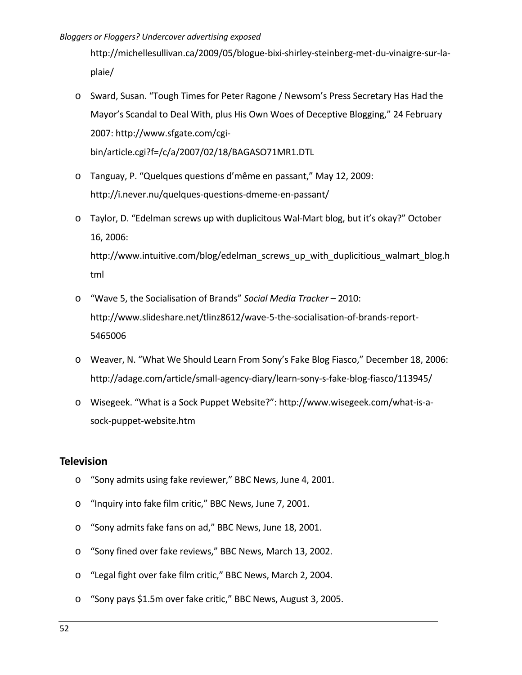http://michellesullivan.ca/2009/05/blogue‐bixi‐shirley‐steinberg‐met‐du‐vinaigre‐sur‐la‐ plaie/

- o Sward, Susan. "Tough Times for Peter Ragone / Newsom's Press Secretary Has Had the Mayor's Scandal to Deal With, plus His Own Woes of Deceptive Blogging," 24 February 2007: http://www.sfgate.com/cgi‐ bin/article.cgi?f=/c/a/2007/02/18/BAGASO71MR1.DTL
- o Tanguay, P. "Quelques questions d'même en passant," May 12, 2009: http://i.never.nu/quelques‐questions‐dmeme‐en‐passant/
- o Taylor, D. "Edelman screws up with duplicitous Wal‐Mart blog, but it's okay?" October 16, 2006:

http://www.intuitive.com/blog/edelman\_screws\_up\_with\_duplicitious\_walmart\_blog.h tml

- o "Wave 5, the Socialisation of Brands" *Social Media Tracker* 2010: http://www.slideshare.net/tlinz8612/wave‐5‐the‐socialisation‐of‐brands‐report‐ 5465006
- o Weaver, N. "What We Should Learn From Sony's Fake Blog Fiasco," December 18, 2006: http://adage.com/article/small‐agency‐diary/learn‐sony‐s‐fake‐blog‐fiasco/113945/
- o Wisegeek. "What is a Sock Puppet Website?": http://www.wisegeek.com/what‐is‐a‐ sock‐puppet‐website.htm

### **Television**

- o "Sony admits using fake reviewer," BBC News, June 4, 2001.
- o "Inquiry into fake film critic," BBC News, June 7, 2001.
- o "Sony admits fake fans on ad," BBC News, June 18, 2001.
- o "Sony fined over fake reviews," BBC News, March 13, 2002.
- o "Legal fight over fake film critic," BBC News, March 2, 2004.
- o "Sony pays \$1.5m over fake critic," BBC News, August 3, 2005.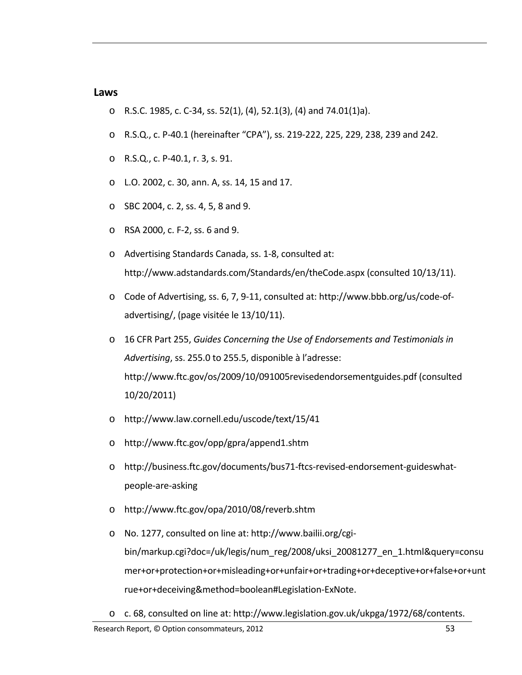#### **Laws**

- o R.S.C. 1985, c. C‐34, ss. 52(1), (4), 52.1(3), (4) and 74.01(1)a).
- o R.S.Q., c. P‐40.1 (hereinafter "CPA"), ss. 219‐222, 225, 229, 238, 239 and 242.
- o R.S.Q., c. P‐40.1, r. 3, s. 91.
- o L.O. 2002, c. 30, ann. A, ss. 14, 15 and 17.
- o SBC 2004, c. 2, ss. 4, 5, 8 and 9.
- o RSA 2000, c. F‐2, ss. 6 and 9.
- o Advertising Standards Canada, ss. 1‐8, consulted at: http://www.adstandards.com/Standards/en/theCode.aspx (consulted 10/13/11).
- o Code of Advertising, ss. 6, 7, 9‐11, consulted at: http://www.bbb.org/us/code‐of‐ advertising/, (page visitée le 13/10/11).
- o 16 CFR Part 255, *Guides Concerning the Use of Endorsements and Testimonials in Advertising*, ss. 255.0 to 255.5, disponible à l'adresse: http://www.ftc.gov/os/2009/10/091005revisedendorsementguides.pdf (consulted 10/20/2011)
- o http://www.law.cornell.edu/uscode/text/15/41
- o http://www.ftc.gov/opp/gpra/append1.shtm
- o http://business.ftc.gov/documents/bus71‐ftcs‐revised‐endorsement‐guideswhat‐ people‐are‐asking
- o http://www.ftc.gov/opa/2010/08/reverb.shtm
- o No. 1277, consulted on line at: http://www.bailii.org/cgi‐ bin/markup.cgi?doc=/uk/legis/num\_reg/2008/uksi\_20081277\_en\_1.html&query=consu mer+or+protection+or+misleading+or+unfair+or+trading+or+deceptive+or+false+or+unt rue+or+deceiving&method=boolean#Legislation‐ExNote.
- o c. 68, consulted on line at: http://www.legislation.gov.uk/ukpga/1972/68/contents.